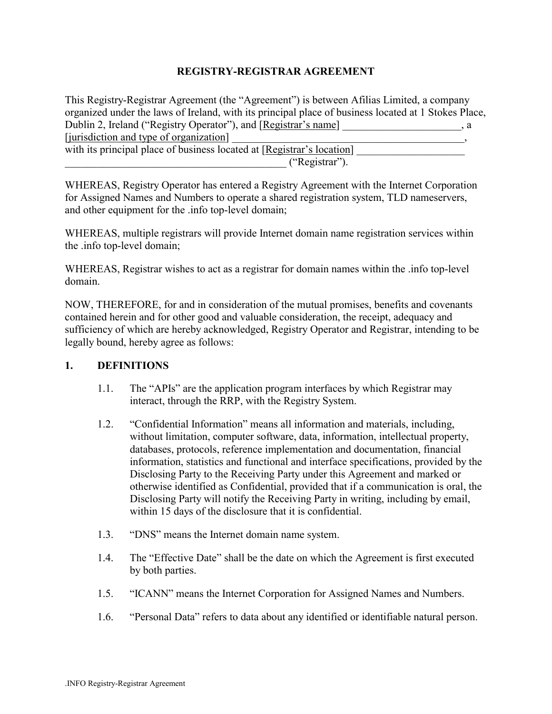### **REGISTRY-REGISTRAR AGREEMENT**

This Registry-Registrar Agreement (the "Agreement") is between Afilias Limited, a company organized under the laws of Ireland, with its principal place of business located at 1 Stokes Place, Dublin 2, Ireland ("Registry Operator"), and [Registrar's name]  $\qquad \qquad$ , a [jurisdiction and type of organization]

with its principal place of business located at  $[Registrar's location]$ \_\_\_\_\_\_\_\_\_\_\_\_\_\_\_\_\_\_\_\_\_\_\_\_\_\_\_\_\_\_\_\_\_\_\_\_\_\_\_\_\_ (ìRegistrarî).

WHEREAS, Registry Operator has entered a Registry Agreement with the Internet Corporation for Assigned Names and Numbers to operate a shared registration system, TLD nameservers, and other equipment for the .info top-level domain;

WHEREAS, multiple registrars will provide Internet domain name registration services within the .info top-level domain;

WHEREAS, Registrar wishes to act as a registrar for domain names within the .info top-level domain.

NOW, THEREFORE, for and in consideration of the mutual promises, benefits and covenants contained herein and for other good and valuable consideration, the receipt, adequacy and sufficiency of which are hereby acknowledged, Registry Operator and Registrar, intending to be legally bound, hereby agree as follows:

### **1. DEFINITIONS**

- 1.1. The "APIs" are the application program interfaces by which Registrar may interact, through the RRP, with the Registry System.
- 1.2. <sup>"</sup>Confidential Information" means all information and materials, including, without limitation, computer software, data, information, intellectual property, databases, protocols, reference implementation and documentation, financial information, statistics and functional and interface specifications, provided by the Disclosing Party to the Receiving Party under this Agreement and marked or otherwise identified as Confidential, provided that if a communication is oral, the Disclosing Party will notify the Receiving Party in writing, including by email, within 15 days of the disclosure that it is confidential.
- 1.3. *"DNS"* means the Internet domain name system.
- 1.4. The "Effective Date" shall be the date on which the Agreement is first executed by both parties.
- 1.5. **IICANN**<sup>n</sup> means the Internet Corporation for Assigned Names and Numbers.
- 1.6. "Personal Data" refers to data about any identified or identifiable natural person.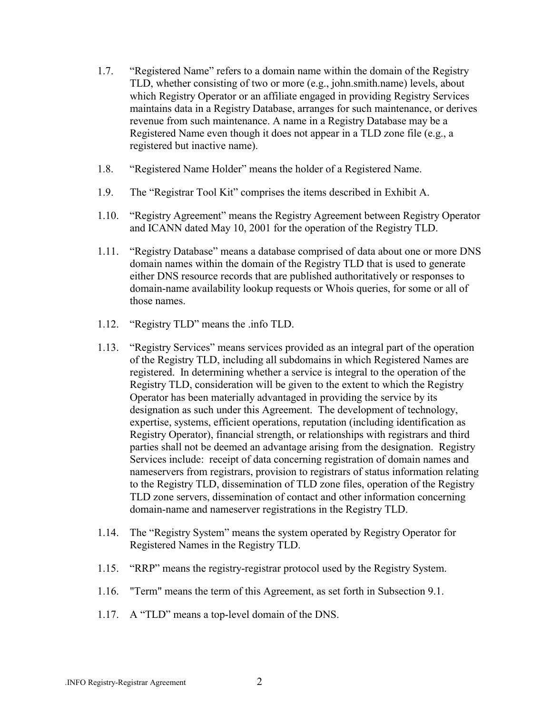- 1.7. *Exercistered Name* refers to a domain name within the domain of the Registry TLD, whether consisting of two or more (e.g., john.smith.name) levels, about which Registry Operator or an affiliate engaged in providing Registry Services maintains data in a Registry Database, arranges for such maintenance, or derives revenue from such maintenance. A name in a Registry Database may be a Registered Name even though it does not appear in a TLD zone file (e.g., a registered but inactive name).
- 1.8. *••• Registered Name Holder* means the holder of a Registered Name.
- 1.9. The "Registrar Tool Kit" comprises the items described in Exhibit A.
- 1.10. "Registry Agreement" means the Registry Agreement between Registry Operator and ICANN dated May 10, 2001 for the operation of the Registry TLD.
- 1.11. "Registry Database" means a database comprised of data about one or more DNS domain names within the domain of the Registry TLD that is used to generate either DNS resource records that are published authoritatively or responses to domain-name availability lookup requests or Whois queries, for some or all of those names.
- 1.12. "Registry TLD" means the .info TLD.
- 1.13. "Registry Services" means services provided as an integral part of the operation of the Registry TLD, including all subdomains in which Registered Names are registered. In determining whether a service is integral to the operation of the Registry TLD, consideration will be given to the extent to which the Registry Operator has been materially advantaged in providing the service by its designation as such under this Agreement. The development of technology, expertise, systems, efficient operations, reputation (including identification as Registry Operator), financial strength, or relationships with registrars and third parties shall not be deemed an advantage arising from the designation. Registry Services include: receipt of data concerning registration of domain names and nameservers from registrars, provision to registrars of status information relating to the Registry TLD, dissemination of TLD zone files, operation of the Registry TLD zone servers, dissemination of contact and other information concerning domain-name and nameserver registrations in the Registry TLD.
- 1.14. The "Registry System" means the system operated by Registry Operator for Registered Names in the Registry TLD.
- 1.15. "RRP" means the registry-registrar protocol used by the Registry System.
- 1.16. "Term" means the term of this Agreement, as set forth in Subsection 9.1.
- 1.17. A "TLD" means a top-level domain of the DNS.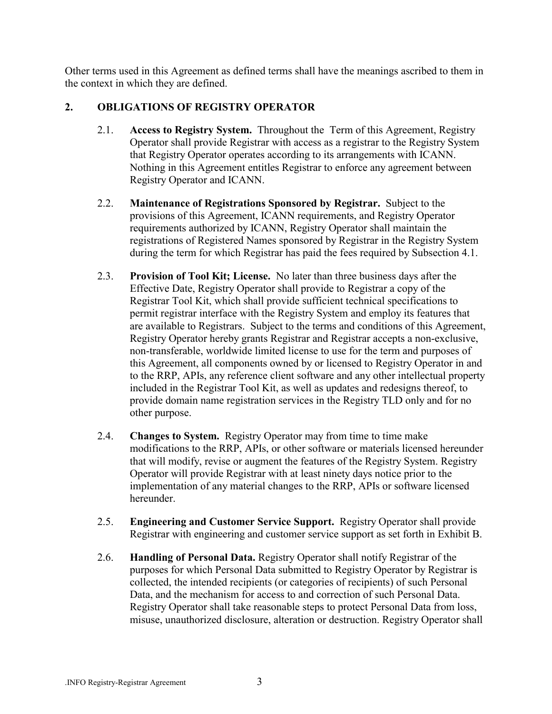Other terms used in this Agreement as defined terms shall have the meanings ascribed to them in the context in which they are defined.

### **2. OBLIGATIONS OF REGISTRY OPERATOR**

- 2.1. **Access to Registry System.** Throughout the Term of this Agreement, Registry Operator shall provide Registrar with access as a registrar to the Registry System that Registry Operator operates according to its arrangements with ICANN. Nothing in this Agreement entitles Registrar to enforce any agreement between Registry Operator and ICANN.
- 2.2. **Maintenance of Registrations Sponsored by Registrar.** Subject to the provisions of this Agreement, ICANN requirements, and Registry Operator requirements authorized by ICANN, Registry Operator shall maintain the registrations of Registered Names sponsored by Registrar in the Registry System during the term for which Registrar has paid the fees required by Subsection 4.1.
- 2.3. **Provision of Tool Kit; License.** No later than three business days after the Effective Date, Registry Operator shall provide to Registrar a copy of the Registrar Tool Kit, which shall provide sufficient technical specifications to permit registrar interface with the Registry System and employ its features that are available to Registrars. Subject to the terms and conditions of this Agreement, Registry Operator hereby grants Registrar and Registrar accepts a non-exclusive, non-transferable, worldwide limited license to use for the term and purposes of this Agreement, all components owned by or licensed to Registry Operator in and to the RRP, APIs, any reference client software and any other intellectual property included in the Registrar Tool Kit, as well as updates and redesigns thereof, to provide domain name registration services in the Registry TLD only and for no other purpose.
- 2.4. **Changes to System.** Registry Operator may from time to time make modifications to the RRP, APIs, or other software or materials licensed hereunder that will modify, revise or augment the features of the Registry System. Registry Operator will provide Registrar with at least ninety days notice prior to the implementation of any material changes to the RRP, APIs or software licensed hereunder.
- 2.5. **Engineering and Customer Service Support.** Registry Operator shall provide Registrar with engineering and customer service support as set forth in Exhibit B.
- 2.6. **Handling of Personal Data.** Registry Operator shall notify Registrar of the purposes for which Personal Data submitted to Registry Operator by Registrar is collected, the intended recipients (or categories of recipients) of such Personal Data, and the mechanism for access to and correction of such Personal Data. Registry Operator shall take reasonable steps to protect Personal Data from loss, misuse, unauthorized disclosure, alteration or destruction. Registry Operator shall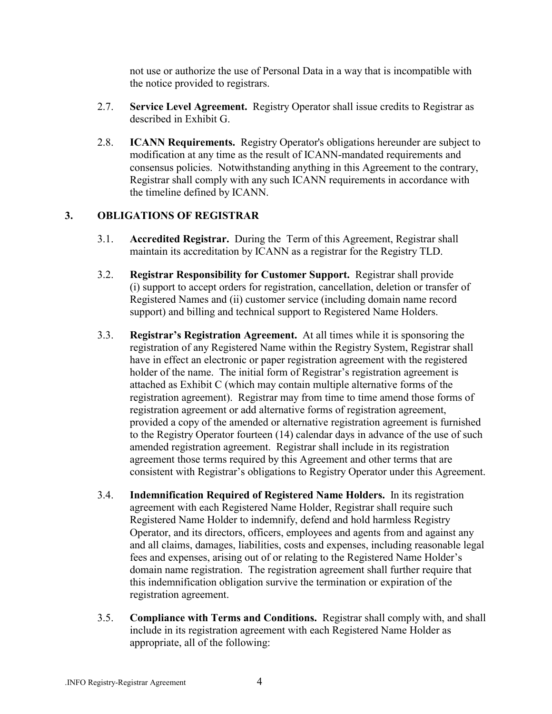not use or authorize the use of Personal Data in a way that is incompatible with the notice provided to registrars.

- 2.7. **Service Level Agreement.** Registry Operator shall issue credits to Registrar as described in Exhibit G.
- 2.8. **ICANN Requirements.** Registry Operator's obligations hereunder are subject to modification at any time as the result of ICANN-mandated requirements and consensus policies. Notwithstanding anything in this Agreement to the contrary, Registrar shall comply with any such ICANN requirements in accordance with the timeline defined by ICANN.

### **3. OBLIGATIONS OF REGISTRAR**

- 3.1. **Accredited Registrar.** During the Term of this Agreement, Registrar shall maintain its accreditation by ICANN as a registrar for the Registry TLD.
- 3.2. **Registrar Responsibility for Customer Support.** Registrar shall provide (i) support to accept orders for registration, cancellation, deletion or transfer of Registered Names and (ii) customer service (including domain name record support) and billing and technical support to Registered Name Holders.
- 3.3. **Registrarís Registration Agreement.** At all times while it is sponsoring the registration of any Registered Name within the Registry System, Registrar shall have in effect an electronic or paper registration agreement with the registered holder of the name. The initial form of Registrar's registration agreement is attached as Exhibit C (which may contain multiple alternative forms of the registration agreement). Registrar may from time to time amend those forms of registration agreement or add alternative forms of registration agreement, provided a copy of the amended or alternative registration agreement is furnished to the Registry Operator fourteen (14) calendar days in advance of the use of such amended registration agreement. Registrar shall include in its registration agreement those terms required by this Agreement and other terms that are consistent with Registrar's obligations to Registry Operator under this Agreement.
- 3.4. **Indemnification Required of Registered Name Holders.** In its registration agreement with each Registered Name Holder, Registrar shall require such Registered Name Holder to indemnify, defend and hold harmless Registry Operator, and its directors, officers, employees and agents from and against any and all claims, damages, liabilities, costs and expenses, including reasonable legal fees and expenses, arising out of or relating to the Registered Name Holder's domain name registration. The registration agreement shall further require that this indemnification obligation survive the termination or expiration of the registration agreement.
- 3.5. **Compliance with Terms and Conditions.** Registrar shall comply with, and shall include in its registration agreement with each Registered Name Holder as appropriate, all of the following: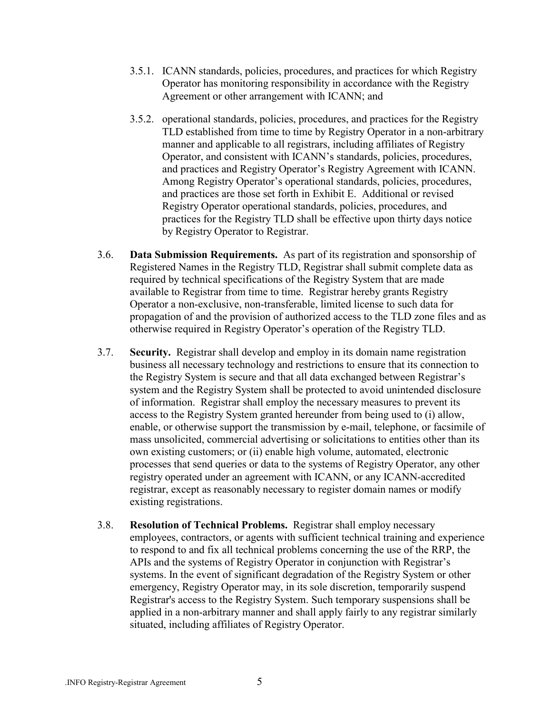- 3.5.1. ICANN standards, policies, procedures, and practices for which Registry Operator has monitoring responsibility in accordance with the Registry Agreement or other arrangement with ICANN; and
- 3.5.2. operational standards, policies, procedures, and practices for the Registry TLD established from time to time by Registry Operator in a non-arbitrary manner and applicable to all registrars, including affiliates of Registry Operator, and consistent with ICANN's standards, policies, procedures, and practices and Registry Operator's Registry Agreement with ICANN. Among Registry Operator's operational standards, policies, procedures, and practices are those set forth in Exhibit E. Additional or revised Registry Operator operational standards, policies, procedures, and practices for the Registry TLD shall be effective upon thirty days notice by Registry Operator to Registrar.
- 3.6. **Data Submission Requirements.** As part of its registration and sponsorship of Registered Names in the Registry TLD, Registrar shall submit complete data as required by technical specifications of the Registry System that are made available to Registrar from time to time. Registrar hereby grants Registry Operator a non-exclusive, non-transferable, limited license to such data for propagation of and the provision of authorized access to the TLD zone files and as otherwise required in Registry Operator's operation of the Registry TLD.
- 3.7. **Security.** Registrar shall develop and employ in its domain name registration business all necessary technology and restrictions to ensure that its connection to the Registry System is secure and that all data exchanged between Registrar's system and the Registry System shall be protected to avoid unintended disclosure of information.Registrar shall employ the necessary measures to prevent its access to the Registry System granted hereunder from being used to (i) allow, enable, or otherwise support the transmission by e-mail, telephone, or facsimile of mass unsolicited, commercial advertising or solicitations to entities other than its own existing customers; or (ii) enable high volume, automated, electronic processes that send queries or data to the systems of Registry Operator, any other registry operated under an agreement with ICANN, or any ICANN-accredited registrar, except as reasonably necessary to register domain names or modify existing registrations.
- 3.8. **Resolution of Technical Problems.** Registrar shall employ necessary employees, contractors, or agents with sufficient technical training and experience to respond to and fix all technical problems concerning the use of the RRP, the APIs and the systems of Registry Operator in conjunction with Registrar's systems. In the event of significant degradation of the Registry System or other emergency, Registry Operator may, in its sole discretion, temporarily suspend Registrar's access to the Registry System. Such temporary suspensions shall be applied in a non-arbitrary manner and shall apply fairly to any registrar similarly situated, including affiliates of Registry Operator.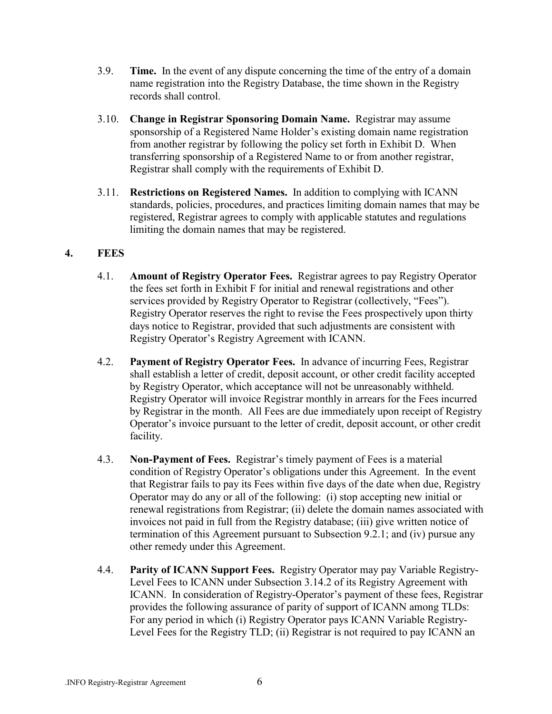- 3.9. **Time.** In the event of any dispute concerning the time of the entry of a domain name registration into the Registry Database, the time shown in the Registry records shall control.
- 3.10. **Change in Registrar Sponsoring Domain Name.** Registrar may assume sponsorship of a Registered Name Holder's existing domain name registration from another registrar by following the policy set forth in Exhibit D. When transferring sponsorship of a Registered Name to or from another registrar, Registrar shall comply with the requirements of Exhibit D.
- 3.11. **Restrictions on Registered Names.** In addition to complying with ICANN standards, policies, procedures, and practices limiting domain names that may be registered, Registrar agrees to comply with applicable statutes and regulations limiting the domain names that may be registered.

### **4. FEES**

- 4.1. **Amount of Registry Operator Fees.** Registrar agrees to pay Registry Operator the fees set forth in Exhibit F for initial and renewal registrations and other services provided by Registry Operator to Registrar (collectively, "Fees"). Registry Operator reserves the right to revise the Fees prospectively upon thirty days notice to Registrar, provided that such adjustments are consistent with Registry Operator's Registry Agreement with ICANN.
- 4.2. **Payment of Registry Operator Fees.** In advance of incurring Fees, Registrar shall establish a letter of credit, deposit account, or other credit facility accepted by Registry Operator, which acceptance will not be unreasonably withheld. Registry Operator will invoice Registrar monthly in arrears for the Fees incurred by Registrar in the month. All Fees are due immediately upon receipt of Registry Operator's invoice pursuant to the letter of credit, deposit account, or other credit facility.
- 4.3. **Non-Payment of Fees.** Registrar's timely payment of Fees is a material condition of Registry Operator's obligations under this Agreement. In the event that Registrar fails to pay its Fees within five days of the date when due, Registry Operator may do any or all of the following: (i) stop accepting new initial or renewal registrations from Registrar; (ii) delete the domain names associated with invoices not paid in full from the Registry database; (iii) give written notice of termination of this Agreement pursuant to Subsection 9.2.1; and (iv) pursue any other remedy under this Agreement.
- 4.4. **Parity of ICANN Support Fees.** Registry Operator may pay Variable Registry-Level Fees to ICANN under Subsection 3.14.2 of its Registry Agreement with ICANN. In consideration of Registry-Operator's payment of these fees, Registrar provides the following assurance of parity of support of ICANN among TLDs: For any period in which (i) Registry Operator pays ICANN Variable Registry-Level Fees for the Registry TLD; (ii) Registrar is not required to pay ICANN an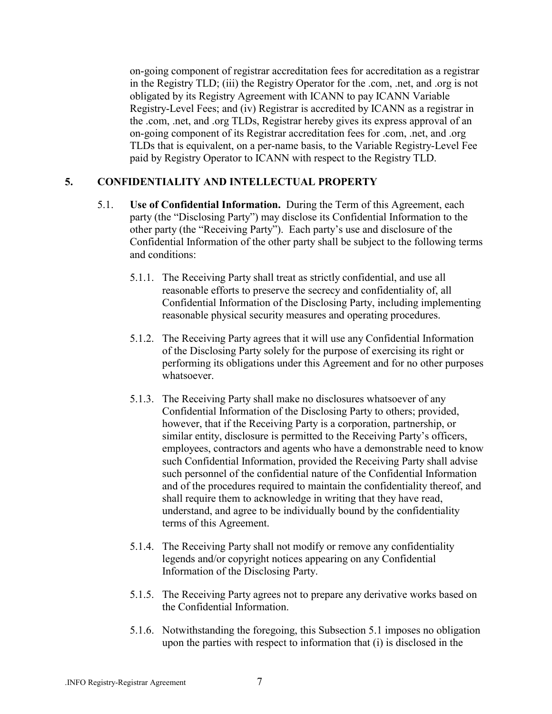on-going component of registrar accreditation fees for accreditation as a registrar in the Registry TLD; (iii) the Registry Operator for the .com, .net, and .org is not obligated by its Registry Agreement with ICANN to pay ICANN Variable Registry-Level Fees; and (iv) Registrar is accredited by ICANN as a registrar in the .com, .net, and .org TLDs, Registrar hereby gives its express approval of an on-going component of its Registrar accreditation fees for .com, .net, and .org TLDs that is equivalent, on a per-name basis, to the Variable Registry-Level Fee paid by Registry Operator to ICANN with respect to the Registry TLD.

### **5. CONFIDENTIALITY AND INTELLECTUAL PROPERTY**

- 5.1. **Use of Confidential Information.** During the Term of this Agreement, each party (the "Disclosing Party") may disclose its Confidential Information to the other party (the "Receiving Party"). Each party's use and disclosure of the Confidential Information of the other party shall be subject to the following terms and conditions:
	- 5.1.1. The Receiving Party shall treat as strictly confidential, and use all reasonable efforts to preserve the secrecy and confidentiality of, all Confidential Information of the Disclosing Party, including implementing reasonable physical security measures and operating procedures.
	- 5.1.2. The Receiving Party agrees that it will use any Confidential Information of the Disclosing Party solely for the purpose of exercising its right or performing its obligations under this Agreement and for no other purposes whatsoever.
	- 5.1.3. The Receiving Party shall make no disclosures whatsoever of any Confidential Information of the Disclosing Party to others; provided, however, that if the Receiving Party is a corporation, partnership, or similar entity, disclosure is permitted to the Receiving Party's officers, employees, contractors and agents who have a demonstrable need to know such Confidential Information, provided the Receiving Party shall advise such personnel of the confidential nature of the Confidential Information and of the procedures required to maintain the confidentiality thereof, and shall require them to acknowledge in writing that they have read, understand, and agree to be individually bound by the confidentiality terms of this Agreement.
	- 5.1.4. The Receiving Party shall not modify or remove any confidentiality legends and/or copyright notices appearing on any Confidential Information of the Disclosing Party.
	- 5.1.5. The Receiving Party agrees not to prepare any derivative works based on the Confidential Information.
	- 5.1.6. Notwithstanding the foregoing, this Subsection 5.1 imposes no obligation upon the parties with respect to information that (i) is disclosed in the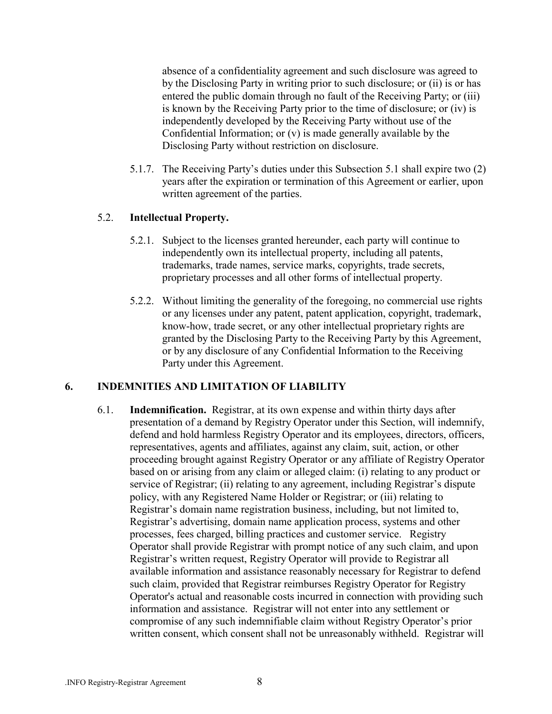absence of a confidentiality agreement and such disclosure was agreed to by the Disclosing Party in writing prior to such disclosure; or (ii) is or has entered the public domain through no fault of the Receiving Party; or (iii) is known by the Receiving Party prior to the time of disclosure; or (iv) is independently developed by the Receiving Party without use of the Confidential Information; or (v) is made generally available by the Disclosing Party without restriction on disclosure.

5.1.7. The Receiving Partyís duties under this Subsection 5.1 shall expire two (2) years after the expiration or termination of this Agreement or earlier, upon written agreement of the parties.

### 5.2. **Intellectual Property.**

- 5.2.1. Subject to the licenses granted hereunder, each party will continue to independently own its intellectual property, including all patents, trademarks, trade names, service marks, copyrights, trade secrets, proprietary processes and all other forms of intellectual property.
- 5.2.2. Without limiting the generality of the foregoing, no commercial use rights or any licenses under any patent, patent application, copyright, trademark, know-how, trade secret, or any other intellectual proprietary rights are granted by the Disclosing Party to the Receiving Party by this Agreement, or by any disclosure of any Confidential Information to the Receiving Party under this Agreement.

### **6. INDEMNITIES AND LIMITATION OF LIABILITY**

6.1. **Indemnification.** Registrar, at its own expense and within thirty days after presentation of a demand by Registry Operator under this Section, will indemnify, defend and hold harmless Registry Operator and its employees, directors, officers, representatives, agents and affiliates, against any claim, suit, action, or other proceeding brought against Registry Operator or any affiliate of Registry Operator based on or arising from any claim or alleged claim: (i) relating to any product or service of Registrar; (ii) relating to any agreement, including Registrar's dispute policy, with any Registered Name Holder or Registrar; or (iii) relating to Registrar's domain name registration business, including, but not limited to, Registrar's advertising, domain name application process, systems and other processes, fees charged, billing practices and customer service. Registry Operator shall provide Registrar with prompt notice of any such claim, and upon Registrar's written request, Registry Operator will provide to Registrar all available information and assistance reasonably necessary for Registrar to defend such claim, provided that Registrar reimburses Registry Operator for Registry Operator's actual and reasonable costs incurred in connection with providing such information and assistance. Registrar will not enter into any settlement or compromise of any such indemnifiable claim without Registry Operator's prior written consent, which consent shall not be unreasonably withheld. Registrar will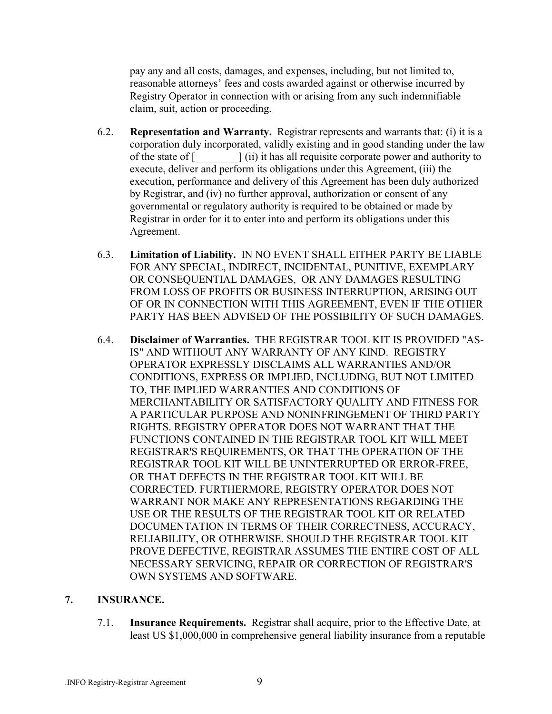pay any and all costs, damages, and expenses, including, but not limited to, reasonable attorneys' fees and costs awarded against or otherwise incurred by Registry Operator in connection with or arising from any such indemnifiable claim, suit, action or proceeding.

- 6.2. **Representation and Warranty.** Registrar represents and warrants that: (i) it is a corporation duly incorporated, validly existing and in good standing under the law of the state of [\_\_\_\_\_\_\_\_] (ii) it has all requisite corporate power and authority to execute, deliver and perform its obligations under this Agreement, (iii) the execution, performance and delivery of this Agreement has been duly authorized by Registrar, and (iv) no further approval, authorization or consent of any governmental or regulatory authority is required to be obtained or made by Registrar in order for it to enter into and perform its obligations under this Agreement.
- 6.3. **Limitation of Liability.** IN NO EVENT SHALL EITHER PARTY BE LIABLE FOR ANY SPECIAL, INDIRECT, INCIDENTAL, PUNITIVE, EXEMPLARY OR CONSEQUENTIAL DAMAGES, OR ANY DAMAGES RESULTING FROM LOSS OF PROFITS OR BUSINESS INTERRUPTION, ARISING OUT OF OR IN CONNECTION WITH THIS AGREEMENT, EVEN IF THE OTHER PARTY HAS BEEN ADVISED OF THE POSSIBILITY OF SUCH DAMAGES.
- 6.4. **Disclaimer of Warranties.** THE REGISTRAR TOOL KIT IS PROVIDED "AS-IS" AND WITHOUT ANY WARRANTY OF ANY KIND. REGISTRY OPERATOR EXPRESSLY DISCLAIMS ALL WARRANTIES AND/OR CONDITIONS, EXPRESS OR IMPLIED, INCLUDING, BUT NOT LIMITED TO, THE IMPLIED WARRANTIES AND CONDITIONS OF MERCHANTABILITY OR SATISFACTORY QUALITY AND FITNESS FOR A PARTICULAR PURPOSE AND NONINFRINGEMENT OF THIRD PARTY RIGHTS. REGISTRY OPERATOR DOES NOT WARRANT THAT THE FUNCTIONS CONTAINED IN THE REGISTRAR TOOL KIT WILL MEET REGISTRAR'S REQUIREMENTS, OR THAT THE OPERATION OF THE REGISTRAR TOOL KIT WILL BE UNINTERRUPTED OR ERROR-FREE, OR THAT DEFECTS IN THE REGISTRAR TOOL KIT WILL BE CORRECTED. FURTHERMORE, REGISTRY OPERATOR DOES NOT WARRANT NOR MAKE ANY REPRESENTATIONS REGARDING THE USE OR THE RESULTS OF THE REGISTRAR TOOL KIT OR RELATED DOCUMENTATION IN TERMS OF THEIR CORRECTNESS, ACCURACY, RELIABILITY, OR OTHERWISE. SHOULD THE REGISTRAR TOOL KIT PROVE DEFECTIVE, REGISTRAR ASSUMES THE ENTIRE COST OF ALL NECESSARY SERVICING, REPAIR OR CORRECTION OF REGISTRAR'S OWN SYSTEMS AND SOFTWARE.

### **7. INSURANCE.**

7.1. **Insurance Requirements.** Registrar shall acquire, prior to the Effective Date, at least US \$1,000,000 in comprehensive general liability insurance from a reputable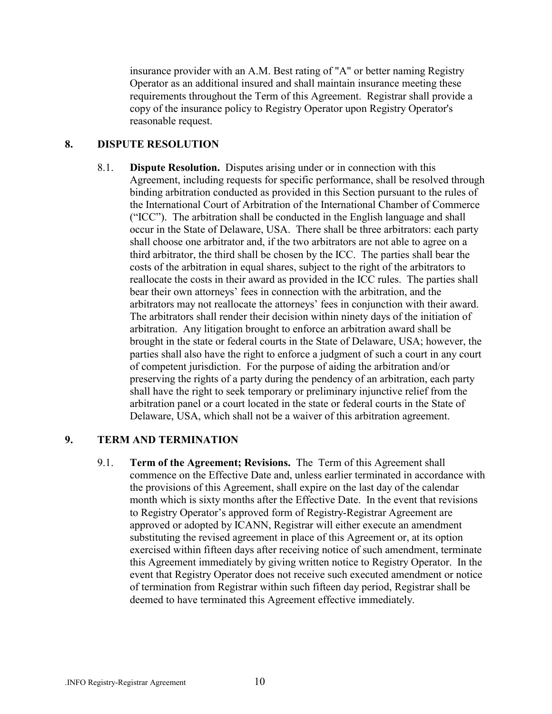insurance provider with an A.M. Best rating of "A" or better naming Registry Operator as an additional insured and shall maintain insurance meeting these requirements throughout the Term of this Agreement. Registrar shall provide a copy of the insurance policy to Registry Operator upon Registry Operator's reasonable request.

### **8. DISPUTE RESOLUTION**

8.1. **Dispute Resolution.** Disputes arising under or in connection with this Agreement, including requests for specific performance, shall be resolved through binding arbitration conducted as provided in this Section pursuant to the rules of the International Court of Arbitration of the International Chamber of Commerce  $({\rm ^{17}CC^{\prime\prime}})$ . The arbitration shall be conducted in the English language and shall occur in the State of Delaware, USA. There shall be three arbitrators: each party shall choose one arbitrator and, if the two arbitrators are not able to agree on a third arbitrator, the third shall be chosen by the ICC. The parties shall bear the costs of the arbitration in equal shares, subject to the right of the arbitrators to reallocate the costs in their award as provided in the ICC rules. The parties shall bear their own attorneys' fees in connection with the arbitration, and the arbitrators may not reallocate the attorneys' fees in conjunction with their award. The arbitrators shall render their decision within ninety days of the initiation of arbitration. Any litigation brought to enforce an arbitration award shall be brought in the state or federal courts in the State of Delaware, USA; however, the parties shall also have the right to enforce a judgment of such a court in any court of competent jurisdiction. For the purpose of aiding the arbitration and/or preserving the rights of a party during the pendency of an arbitration, each party shall have the right to seek temporary or preliminary injunctive relief from the arbitration panel or a court located in the state or federal courts in the State of Delaware, USA, which shall not be a waiver of this arbitration agreement.

### **9. TERM AND TERMINATION**

9.1. **Term of the Agreement; Revisions.** The Term of this Agreement shall commence on the Effective Date and, unless earlier terminated in accordance with the provisions of this Agreement, shall expire on the last day of the calendar month which is sixty months after the Effective Date. In the event that revisions to Registry Operator's approved form of Registry-Registrar Agreement are approved or adopted by ICANN, Registrar will either execute an amendment substituting the revised agreement in place of this Agreement or, at its option exercised within fifteen days after receiving notice of such amendment, terminate this Agreement immediately by giving written notice to Registry Operator. In the event that Registry Operator does not receive such executed amendment or notice of termination from Registrar within such fifteen day period, Registrar shall be deemed to have terminated this Agreement effective immediately.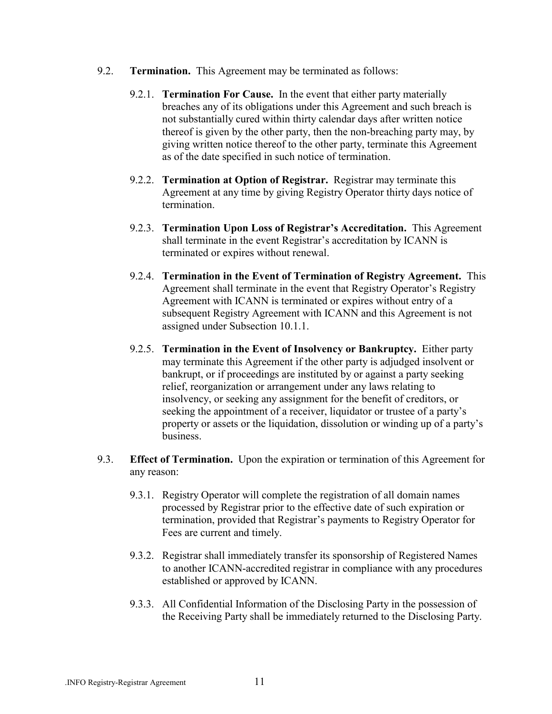- 9.2. **Termination.** This Agreement may be terminated as follows:
	- 9.2.1. **Termination For Cause.** In the event that either party materially breaches any of its obligations under this Agreement and such breach is not substantially cured within thirty calendar days after written notice thereof is given by the other party, then the non-breaching party may, by giving written notice thereof to the other party, terminate this Agreement as of the date specified in such notice of termination.
	- 9.2.2. **Termination at Option of Registrar.** Registrar may terminate this Agreement at any time by giving Registry Operator thirty days notice of termination.
	- 9.2.3. **Termination Upon Loss of Registrar's Accreditation.** This Agreement shall terminate in the event Registrar's accreditation by ICANN is terminated or expires without renewal.
	- 9.2.4. **Termination in the Event of Termination of Registry Agreement.** This Agreement shall terminate in the event that Registry Operator's Registry Agreement with ICANN is terminated or expires without entry of a subsequent Registry Agreement with ICANN and this Agreement is not assigned under Subsection 10.1.1.
	- 9.2.5. **Termination in the Event of Insolvency or Bankruptcy.** Either party may terminate this Agreement if the other party is adjudged insolvent or bankrupt, or if proceedings are instituted by or against a party seeking relief, reorganization or arrangement under any laws relating to insolvency, or seeking any assignment for the benefit of creditors, or seeking the appointment of a receiver, liquidator or trustee of a party's property or assets or the liquidation, dissolution or winding up of a party's business.
- 9.3. **Effect of Termination.** Upon the expiration or termination of this Agreement for any reason:
	- 9.3.1. Registry Operator will complete the registration of all domain names processed by Registrar prior to the effective date of such expiration or termination, provided that Registrar's payments to Registry Operator for Fees are current and timely.
	- 9.3.2. Registrar shall immediately transfer its sponsorship of Registered Names to another ICANN-accredited registrar in compliance with any procedures established or approved by ICANN.
	- 9.3.3. All Confidential Information of the Disclosing Party in the possession of the Receiving Party shall be immediately returned to the Disclosing Party.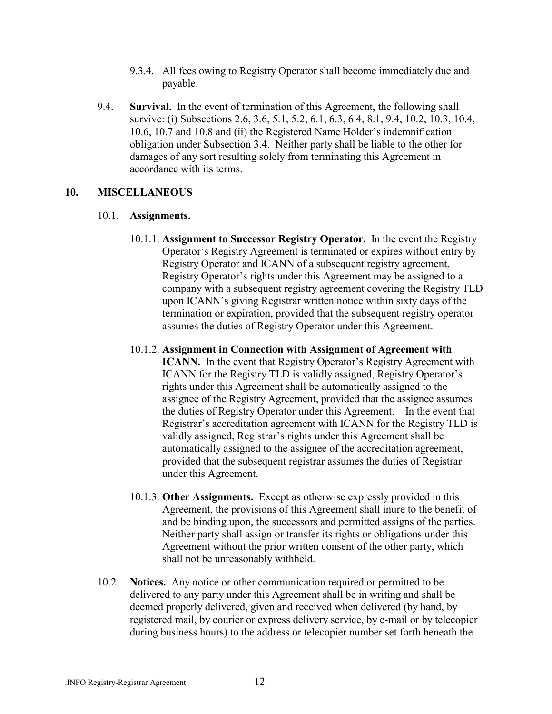- 9.3.4. All fees owing to Registry Operator shall become immediately due and payable.
- 9.4. **Survival.** In the event of termination of this Agreement, the following shall survive: (i) Subsections 2.6, 3.6, 5.1, 5.2, 6.1, 6.3, 6.4, 8.1, 9.4, 10.2, 10.3, 10.4, 10.6, 10.7 and 10.8 and (ii) the Registered Name Holder's indemnification obligation under Subsection 3.4. Neither party shall be liable to the other for damages of any sort resulting solely from terminating this Agreement in accordance with its terms.

#### **10. MISCELLANEOUS**

#### 10.1. **Assignments.**

- 10.1.1. **Assignment to Successor Registry Operator.** In the event the Registry Operator's Registry Agreement is terminated or expires without entry by Registry Operator and ICANN of a subsequent registry agreement, Registry Operator's rights under this Agreement may be assigned to a company with a subsequent registry agreement covering the Registry TLD upon ICANN's giving Registrar written notice within sixty days of the termination or expiration, provided that the subsequent registry operator assumes the duties of Registry Operator under this Agreement.
- 10.1.2. **Assignment in Connection with Assignment of Agreement with ICANN.** In the event that Registry Operator's Registry Agreement with ICANN for the Registry TLD is validly assigned, Registry Operator's rights under this Agreement shall be automatically assigned to the assignee of the Registry Agreement, provided that the assignee assumes the duties of Registry Operator under this Agreement. In the event that Registrar's accreditation agreement with ICANN for the Registry TLD is validly assigned, Registrar's rights under this Agreement shall be automatically assigned to the assignee of the accreditation agreement, provided that the subsequent registrar assumes the duties of Registrar under this Agreement.
- 10.1.3. **Other Assignments.** Except as otherwise expressly provided in this Agreement, the provisions of this Agreement shall inure to the benefit of and be binding upon, the successors and permitted assigns of the parties. Neither party shall assign or transfer its rights or obligations under this Agreement without the prior written consent of the other party, which shall not be unreasonably withheld.
- 10.2. **Notices.** Any notice or other communication required or permitted to be delivered to any party under this Agreement shall be in writing and shall be deemed properly delivered, given and received when delivered (by hand, by registered mail, by courier or express delivery service, by e-mail or by telecopier during business hours) to the address or telecopier number set forth beneath the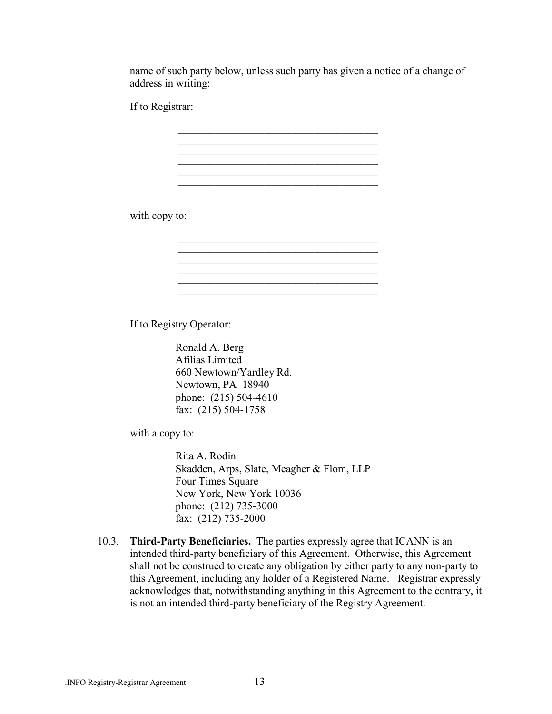name of such party below, unless such party has given a notice of a change of address in writing:

\_\_\_\_\_\_\_\_\_\_\_\_\_\_\_\_\_\_\_\_\_\_\_\_\_\_\_\_\_\_\_\_\_\_\_\_\_\_\_\_\_\_\_\_

\_\_\_\_\_\_\_\_\_\_\_\_\_\_\_\_\_\_\_\_\_\_\_\_\_\_\_\_\_\_\_\_\_\_\_\_\_\_\_\_\_\_\_\_ \_\_\_\_\_\_\_\_\_\_\_\_\_\_\_\_\_\_\_\_\_\_\_\_\_\_\_\_\_\_\_\_\_\_\_\_\_\_\_\_\_\_\_\_

 $\mathcal{L}_\text{max}$  , and the set of the set of the set of the set of the set of the set of the set of the set of the set of the set of the set of the set of the set of the set of the set of the set of the set of the set of the \_\_\_\_\_\_\_\_\_\_\_\_\_\_\_\_\_\_\_\_\_\_\_\_\_\_\_\_\_\_\_\_\_\_\_\_\_\_\_\_\_\_\_\_  $\mathcal{L}_\text{max}$  , and the set of the set of the set of the set of the set of the set of the set of the set of the set of the set of the set of the set of the set of the set of the set of the set of the set of the set of the

 $\mathcal{L}_\mathcal{L} = \mathcal{L}_\mathcal{L} = \mathcal{L}_\mathcal{L} = \mathcal{L}_\mathcal{L} = \mathcal{L}_\mathcal{L} = \mathcal{L}_\mathcal{L} = \mathcal{L}_\mathcal{L} = \mathcal{L}_\mathcal{L} = \mathcal{L}_\mathcal{L} = \mathcal{L}_\mathcal{L} = \mathcal{L}_\mathcal{L} = \mathcal{L}_\mathcal{L} = \mathcal{L}_\mathcal{L} = \mathcal{L}_\mathcal{L} = \mathcal{L}_\mathcal{L} = \mathcal{L}_\mathcal{L} = \mathcal{L}_\mathcal{L}$ 

 $\mathcal{L}_\mathcal{L} = \mathcal{L}_\mathcal{L} = \mathcal{L}_\mathcal{L} = \mathcal{L}_\mathcal{L} = \mathcal{L}_\mathcal{L} = \mathcal{L}_\mathcal{L} = \mathcal{L}_\mathcal{L} = \mathcal{L}_\mathcal{L} = \mathcal{L}_\mathcal{L} = \mathcal{L}_\mathcal{L} = \mathcal{L}_\mathcal{L} = \mathcal{L}_\mathcal{L} = \mathcal{L}_\mathcal{L} = \mathcal{L}_\mathcal{L} = \mathcal{L}_\mathcal{L} = \mathcal{L}_\mathcal{L} = \mathcal{L}_\mathcal{L}$ 

If to Registrar:

with copy to:

If to Registry Operator:

 Ronald A. Berg Afilias Limited 660 Newtown/Yardley Rd. Newtown, PA 18940 phone: (215) 504-4610 fax: (215) 504-1758

with a copy to:

Rita A. Rodin Skadden, Arps, Slate, Meagher & Flom, LLP Four Times Square New York, New York 10036 phone: (212) 735-3000 fax: (212) 735-2000

10.3. **Third-Party Beneficiaries.** The parties expressly agree that ICANN is an intended third-party beneficiary of this Agreement. Otherwise, this Agreement shall not be construed to create any obligation by either party to any non-party to this Agreement, including any holder of a Registered Name. Registrar expressly acknowledges that, notwithstanding anything in this Agreement to the contrary, it is not an intended third-party beneficiary of the Registry Agreement.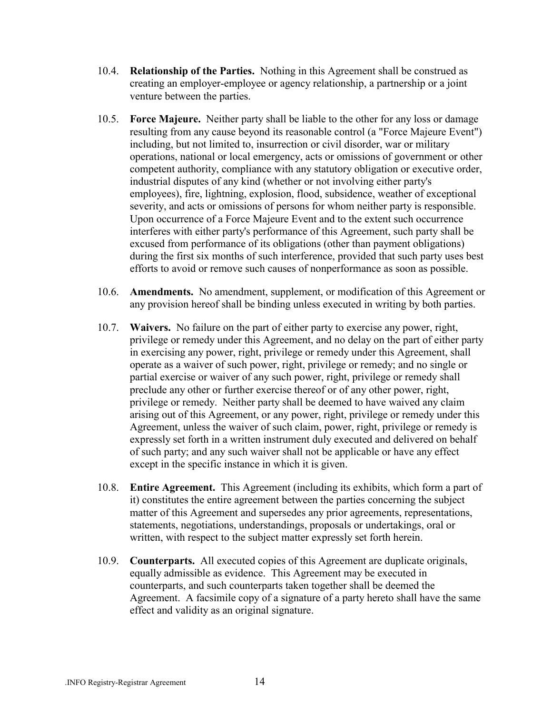- 10.4. **Relationship of the Parties.** Nothing in this Agreement shall be construed as creating an employer-employee or agency relationship, a partnership or a joint venture between the parties.
- 10.5. **Force Majeure.** Neither party shall be liable to the other for any loss or damage resulting from any cause beyond its reasonable control (a "Force Majeure Event") including, but not limited to, insurrection or civil disorder, war or military operations, national or local emergency, acts or omissions of government or other competent authority, compliance with any statutory obligation or executive order, industrial disputes of any kind (whether or not involving either party's employees), fire, lightning, explosion, flood, subsidence, weather of exceptional severity, and acts or omissions of persons for whom neither party is responsible. Upon occurrence of a Force Majeure Event and to the extent such occurrence interferes with either party's performance of this Agreement, such party shall be excused from performance of its obligations (other than payment obligations) during the first six months of such interference, provided that such party uses best efforts to avoid or remove such causes of nonperformance as soon as possible.
- 10.6. **Amendments.** No amendment, supplement, or modification of this Agreement or any provision hereof shall be binding unless executed in writing by both parties.
- 10.7. **Waivers.** No failure on the part of either party to exercise any power, right, privilege or remedy under this Agreement, and no delay on the part of either party in exercising any power, right, privilege or remedy under this Agreement, shall operate as a waiver of such power, right, privilege or remedy; and no single or partial exercise or waiver of any such power, right, privilege or remedy shall preclude any other or further exercise thereof or of any other power, right, privilege or remedy. Neither party shall be deemed to have waived any claim arising out of this Agreement, or any power, right, privilege or remedy under this Agreement, unless the waiver of such claim, power, right, privilege or remedy is expressly set forth in a written instrument duly executed and delivered on behalf of such party; and any such waiver shall not be applicable or have any effect except in the specific instance in which it is given.
- 10.8. **Entire Agreement.** This Agreement (including its exhibits, which form a part of it) constitutes the entire agreement between the parties concerning the subject matter of this Agreement and supersedes any prior agreements, representations, statements, negotiations, understandings, proposals or undertakings, oral or written, with respect to the subject matter expressly set forth herein.
- 10.9. **Counterparts.** All executed copies of this Agreement are duplicate originals, equally admissible as evidence. This Agreement may be executed in counterparts, and such counterparts taken together shall be deemed the Agreement. A facsimile copy of a signature of a party hereto shall have the same effect and validity as an original signature.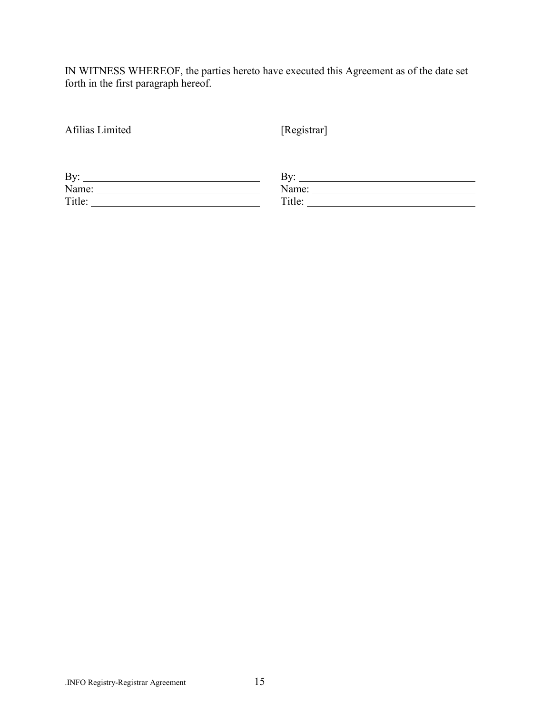IN WITNESS WHEREOF, the parties hereto have executed this Agreement as of the date set forth in the first paragraph hereof.

| Afilias Limited | [Registrar]         |  |  |
|-----------------|---------------------|--|--|
|                 |                     |  |  |
| By:             | By: $\qquad \qquad$ |  |  |
| Name:           | Name:               |  |  |
| Title:          | Title:              |  |  |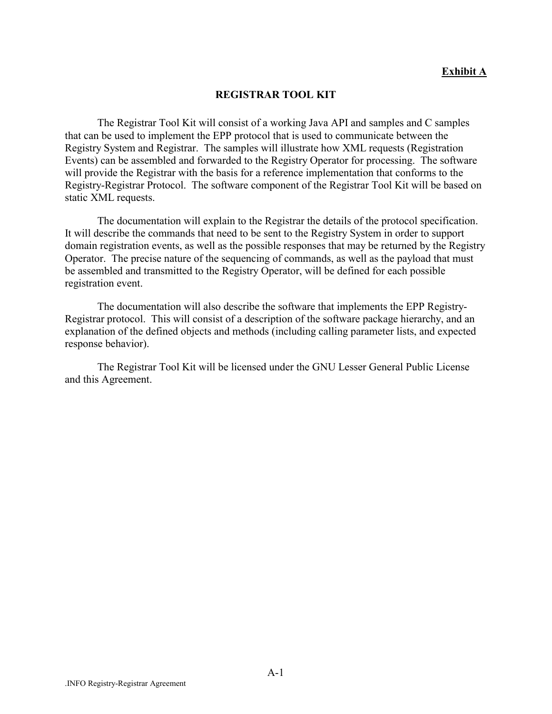#### **Exhibit A**

#### **REGISTRAR TOOL KIT**

The Registrar Tool Kit will consist of a working Java API and samples and C samples that can be used to implement the EPP protocol that is used to communicate between the Registry System and Registrar. The samples will illustrate how XML requests (Registration Events) can be assembled and forwarded to the Registry Operator for processing. The software will provide the Registrar with the basis for a reference implementation that conforms to the Registry-Registrar Protocol. The software component of the Registrar Tool Kit will be based on static XML requests.

The documentation will explain to the Registrar the details of the protocol specification. It will describe the commands that need to be sent to the Registry System in order to support domain registration events, as well as the possible responses that may be returned by the Registry Operator. The precise nature of the sequencing of commands, as well as the payload that must be assembled and transmitted to the Registry Operator, will be defined for each possible registration event.

The documentation will also describe the software that implements the EPP Registry-Registrar protocol. This will consist of a description of the software package hierarchy, and an explanation of the defined objects and methods (including calling parameter lists, and expected response behavior).

The Registrar Tool Kit will be licensed under the GNU Lesser General Public License and this Agreement.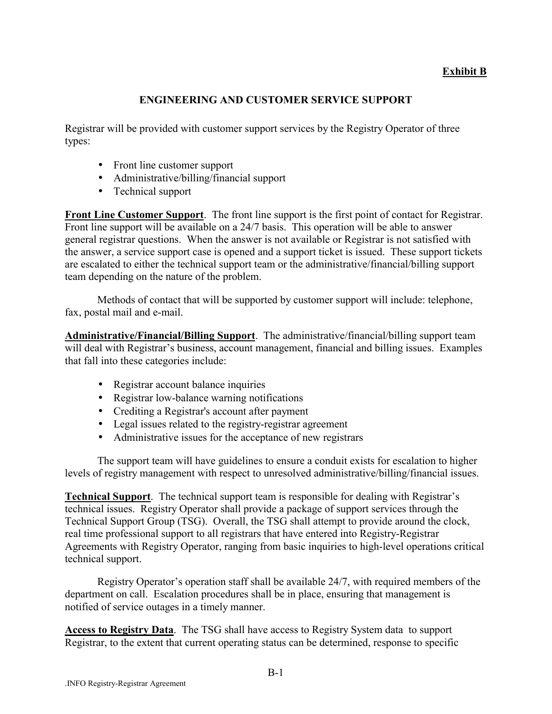### **Exhibit B**

### **ENGINEERING AND CUSTOMER SERVICE SUPPORT**

Registrar will be provided with customer support services by the Registry Operator of three types:

- Front line customer support
- Administrative/billing/financial support
- Technical support

**Front Line Customer Support**. The front line support is the first point of contact for Registrar. Front line support will be available on a 24/7 basis. This operation will be able to answer general registrar questions. When the answer is not available or Registrar is not satisfied with the answer, a service support case is opened and a support ticket is issued. These support tickets are escalated to either the technical support team or the administrative/financial/billing support team depending on the nature of the problem.

Methods of contact that will be supported by customer support will include: telephone, fax, postal mail and e-mail.

**Administrative/Financial/Billing Support**. The administrative/financial/billing support team will deal with Registrar's business, account management, financial and billing issues. Examples that fall into these categories include:

- Registrar account balance inquiries
- Registrar low-balance warning notifications
- Crediting a Registrar's account after payment
- Legal issues related to the registry-registrar agreement
- Administrative issues for the acceptance of new registrars

The support team will have guidelines to ensure a conduit exists for escalation to higher levels of registry management with respect to unresolved administrative/billing/financial issues.

**Technical Support.** The technical support team is responsible for dealing with Registrar's technical issues. Registry Operator shall provide a package of support services through the Technical Support Group (TSG). Overall, the TSG shall attempt to provide around the clock, real time professional support to all registrars that have entered into Registry-Registrar Agreements with Registry Operator, ranging from basic inquiries to high-level operations critical technical support.

Registry Operator's operation staff shall be available 24/7, with required members of the department on call. Escalation procedures shall be in place, ensuring that management is notified of service outages in a timely manner.

**Access to Registry Data**. The TSG shall have access to Registry System data to support Registrar, to the extent that current operating status can be determined, response to specific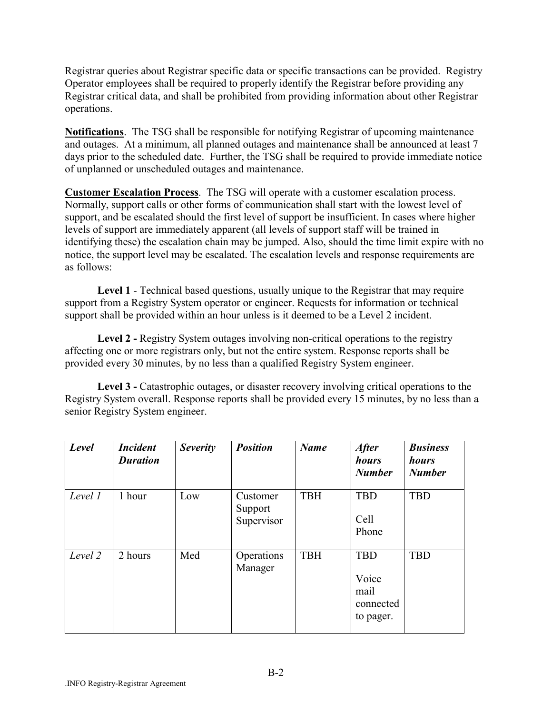Registrar queries about Registrar specific data or specific transactions can be provided. Registry Operator employees shall be required to properly identify the Registrar before providing any Registrar critical data, and shall be prohibited from providing information about other Registrar operations.

**Notifications**. The TSG shall be responsible for notifying Registrar of upcoming maintenance and outages. At a minimum, all planned outages and maintenance shall be announced at least 7 days prior to the scheduled date. Further, the TSG shall be required to provide immediate notice of unplanned or unscheduled outages and maintenance.

**Customer Escalation Process**. The TSG will operate with a customer escalation process. Normally, support calls or other forms of communication shall start with the lowest level of support, and be escalated should the first level of support be insufficient. In cases where higher levels of support are immediately apparent (all levels of support staff will be trained in identifying these) the escalation chain may be jumped. Also, should the time limit expire with no notice, the support level may be escalated. The escalation levels and response requirements are as follows:

**Level 1** - Technical based questions, usually unique to the Registrar that may require support from a Registry System operator or engineer. Requests for information or technical support shall be provided within an hour unless is it deemed to be a Level 2 incident.

**Level 2 -** Registry System outages involving non-critical operations to the registry affecting one or more registrars only, but not the entire system. Response reports shall be provided every 30 minutes, by no less than a qualified Registry System engineer.

Level 3 - Catastrophic outages, or disaster recovery involving critical operations to the Registry System overall. Response reports shall be provided every 15 minutes, by no less than a senior Registry System engineer.

| Level   | <b>Incident</b><br><b>Duration</b> | Severity | <b>Position</b>                   | <b>Name</b> | <i><b>After</b></i><br>hours<br><b>Number</b>         | <b>Business</b><br>hours<br><b>Number</b> |
|---------|------------------------------------|----------|-----------------------------------|-------------|-------------------------------------------------------|-------------------------------------------|
| Level 1 | 1 hour                             | Low      | Customer<br>Support<br>Supervisor | <b>TBH</b>  | <b>TBD</b><br>Cell<br>Phone                           | <b>TBD</b>                                |
| Level 2 | 2 hours                            | Med      | Operations<br>Manager             | <b>TBH</b>  | <b>TBD</b><br>Voice<br>mail<br>connected<br>to pager. | <b>TBD</b>                                |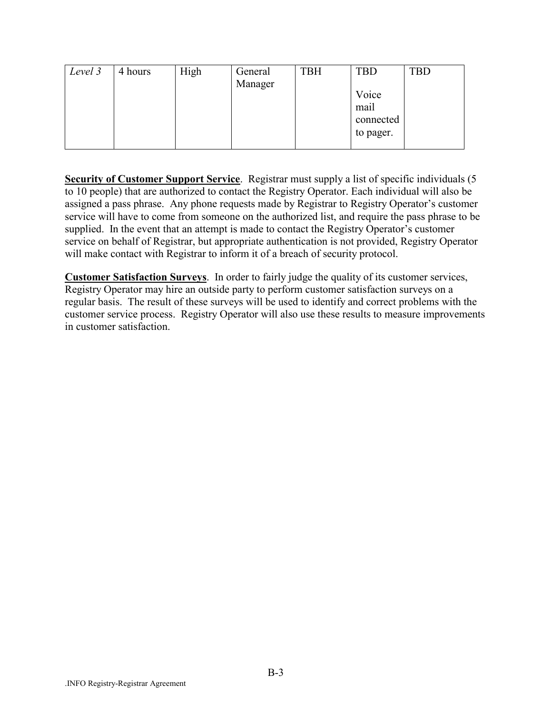| Level 3 | 4 hours | High | General | <b>TBH</b> | <b>TBD</b> | <b>TBD</b> |
|---------|---------|------|---------|------------|------------|------------|
|         |         |      | Manager |            |            |            |
|         |         |      |         |            | Voice      |            |
|         |         |      |         |            | mail       |            |
|         |         |      |         |            | connected  |            |
|         |         |      |         |            | to pager.  |            |
|         |         |      |         |            |            |            |

**Security of Customer Support Service**. Registrar must supply a list of specific individuals (5 to 10 people) that are authorized to contact the Registry Operator. Each individual will also be assigned a pass phrase. Any phone requests made by Registrar to Registry Operator's customer service will have to come from someone on the authorized list, and require the pass phrase to be supplied. In the event that an attempt is made to contact the Registry Operator's customer service on behalf of Registrar, but appropriate authentication is not provided, Registry Operator will make contact with Registrar to inform it of a breach of security protocol.

**Customer Satisfaction Surveys**. In order to fairly judge the quality of its customer services, Registry Operator may hire an outside party to perform customer satisfaction surveys on a regular basis. The result of these surveys will be used to identify and correct problems with the customer service process. Registry Operator will also use these results to measure improvements in customer satisfaction.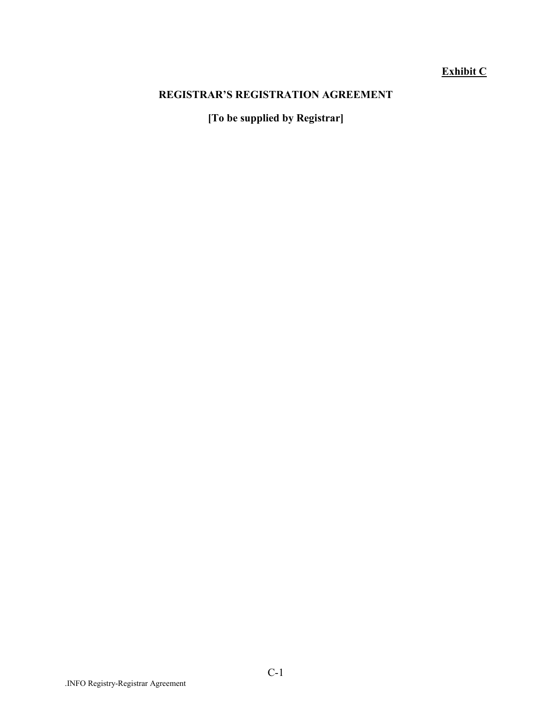# **Exhibit C**

### **REGISTRAR'S REGISTRATION AGREEMENT**

**[To be supplied by Registrar]**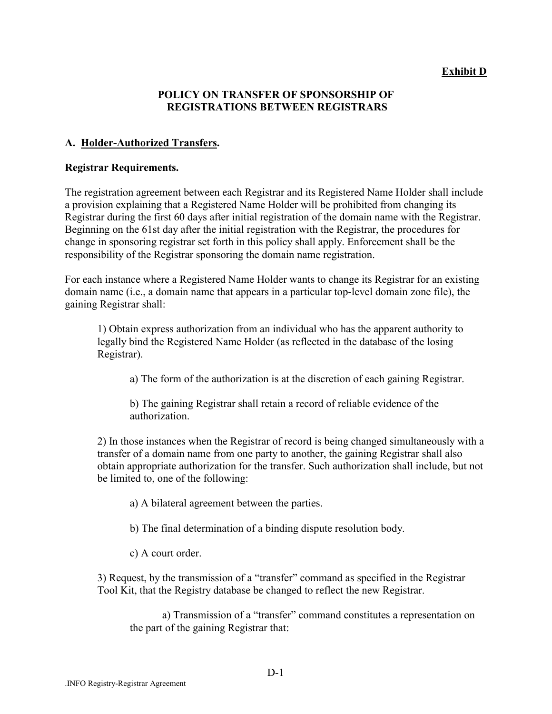### **Exhibit D**

### **POLICY ON TRANSFER OF SPONSORSHIP OF REGISTRATIONS BETWEEN REGISTRARS**

#### **A. Holder-Authorized Transfers.**

#### **Registrar Requirements.**

The registration agreement between each Registrar and its Registered Name Holder shall include a provision explaining that a Registered Name Holder will be prohibited from changing its Registrar during the first 60 days after initial registration of the domain name with the Registrar. Beginning on the 61st day after the initial registration with the Registrar, the procedures for change in sponsoring registrar set forth in this policy shall apply. Enforcement shall be the responsibility of the Registrar sponsoring the domain name registration.

For each instance where a Registered Name Holder wants to change its Registrar for an existing domain name (i.e., a domain name that appears in a particular top-level domain zone file), the gaining Registrar shall:

1) Obtain express authorization from an individual who has the apparent authority to legally bind the Registered Name Holder (as reflected in the database of the losing Registrar).

a) The form of the authorization is at the discretion of each gaining Registrar.

b) The gaining Registrar shall retain a record of reliable evidence of the authorization.

2) In those instances when the Registrar of record is being changed simultaneously with a transfer of a domain name from one party to another, the gaining Registrar shall also obtain appropriate authorization for the transfer. Such authorization shall include, but not be limited to, one of the following:

a) A bilateral agreement between the parties.

b) The final determination of a binding dispute resolution body.

c) A court order.

3) Request, by the transmission of a "transfer" command as specified in the Registrar Tool Kit, that the Registry database be changed to reflect the new Registrar.

a) Transmission of a "transfer" command constitutes a representation on the part of the gaining Registrar that: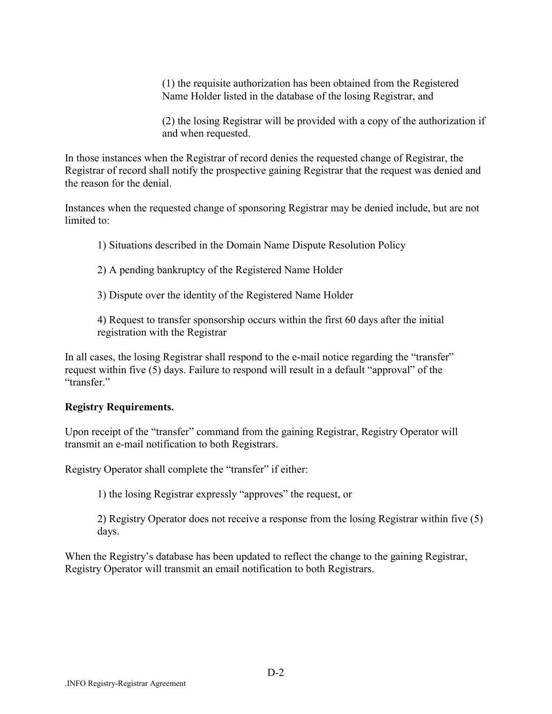(1) the requisite authorization has been obtained from the Registered Name Holder listed in the database of the losing Registrar, and

(2) the losing Registrar will be provided with a copy of the authorization if and when requested.

In those instances when the Registrar of record denies the requested change of Registrar, the Registrar of record shall notify the prospective gaining Registrar that the request was denied and the reason for the denial.

Instances when the requested change of sponsoring Registrar may be denied include, but are not limited to:

1) Situations described in the Domain Name Dispute Resolution Policy

2) A pending bankruptcy of the Registered Name Holder

3) Dispute over the identity of the Registered Name Holder

4) Request to transfer sponsorship occurs within the first 60 days after the initial registration with the Registrar

In all cases, the losing Registrar shall respond to the e-mail notice regarding the "transfer" request within five (5) days. Failure to respond will result in a default "approval" of the "transfer"

#### **Registry Requirements.**

Upon receipt of the "transfer" command from the gaining Registrar, Registry Operator will transmit an e-mail notification to both Registrars.

Registry Operator shall complete the "transfer" if either:

1) the losing Registrar expressly "approves" the request, or

2) Registry Operator does not receive a response from the losing Registrar within five (5) days.

When the Registry's database has been updated to reflect the change to the gaining Registrar, Registry Operator will transmit an email notification to both Registrars.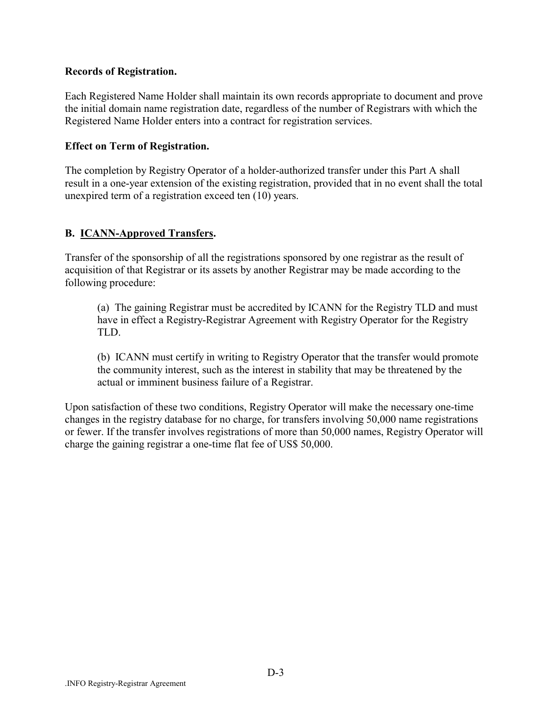### **Records of Registration.**

Each Registered Name Holder shall maintain its own records appropriate to document and prove the initial domain name registration date, regardless of the number of Registrars with which the Registered Name Holder enters into a contract for registration services.

### **Effect on Term of Registration.**

The completion by Registry Operator of a holder-authorized transfer under this Part A shall result in a one-year extension of the existing registration, provided that in no event shall the total unexpired term of a registration exceed ten (10) years.

### **B. ICANN-Approved Transfers.**

Transfer of the sponsorship of all the registrations sponsored by one registrar as the result of acquisition of that Registrar or its assets by another Registrar may be made according to the following procedure:

(a) The gaining Registrar must be accredited by ICANN for the Registry TLD and must have in effect a Registry-Registrar Agreement with Registry Operator for the Registry TLD.

(b) ICANN must certify in writing to Registry Operator that the transfer would promote the community interest, such as the interest in stability that may be threatened by the actual or imminent business failure of a Registrar.

Upon satisfaction of these two conditions, Registry Operator will make the necessary one-time changes in the registry database for no charge, for transfers involving 50,000 name registrations or fewer. If the transfer involves registrations of more than 50,000 names, Registry Operator will charge the gaining registrar a one-time flat fee of US\$ 50,000.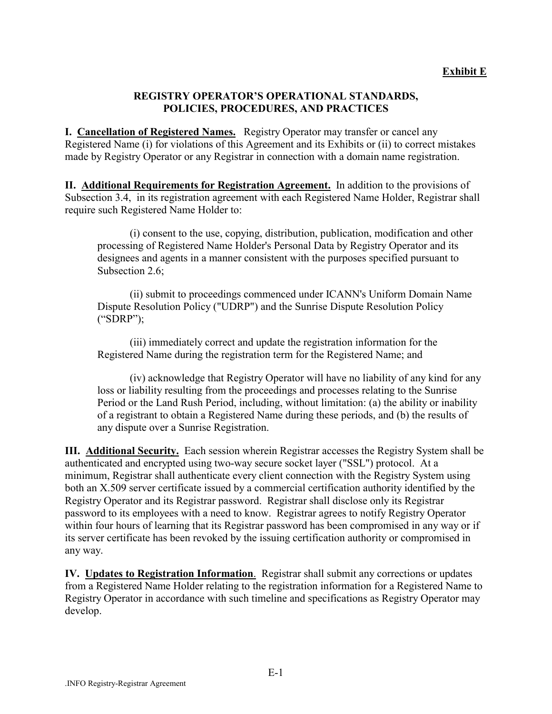### **REGISTRY OPERATORíS OPERATIONAL STANDARDS, POLICIES, PROCEDURES, AND PRACTICES**

**I. Cancellation of Registered Names.** Registry Operator may transfer or cancel any Registered Name (i) for violations of this Agreement and its Exhibits or (ii) to correct mistakes made by Registry Operator or any Registrar in connection with a domain name registration.

**II. Additional Requirements for Registration Agreement.** In addition to the provisions of Subsection 3.4, in its registration agreement with each Registered Name Holder, Registrar shall require such Registered Name Holder to:

(i) consent to the use, copying, distribution, publication, modification and other processing of Registered Name Holder's Personal Data by Registry Operator and its designees and agents in a manner consistent with the purposes specified pursuant to Subsection 2.6;

(ii) submit to proceedings commenced under ICANN's Uniform Domain Name Dispute Resolution Policy ("UDRP") and the Sunrise Dispute Resolution Policy  $("SDRP")$ ;

(iii) immediately correct and update the registration information for the Registered Name during the registration term for the Registered Name; and

(iv) acknowledge that Registry Operator will have no liability of any kind for any loss or liability resulting from the proceedings and processes relating to the Sunrise Period or the Land Rush Period, including, without limitation: (a) the ability or inability of a registrant to obtain a Registered Name during these periods, and (b) the results of any dispute over a Sunrise Registration.

**III. Additional Security.** Each session wherein Registrar accesses the Registry System shall be authenticated and encrypted using two-way secure socket layer ("SSL") protocol. At a minimum, Registrar shall authenticate every client connection with the Registry System using both an X.509 server certificate issued by a commercial certification authority identified by the Registry Operator and its Registrar password. Registrar shall disclose only its Registrar password to its employees with a need to know. Registrar agrees to notify Registry Operator within four hours of learning that its Registrar password has been compromised in any way or if its server certificate has been revoked by the issuing certification authority or compromised in any way.

**IV. Updates to Registration Information**. Registrar shall submit any corrections or updates from a Registered Name Holder relating to the registration information for a Registered Name to Registry Operator in accordance with such timeline and specifications as Registry Operator may develop.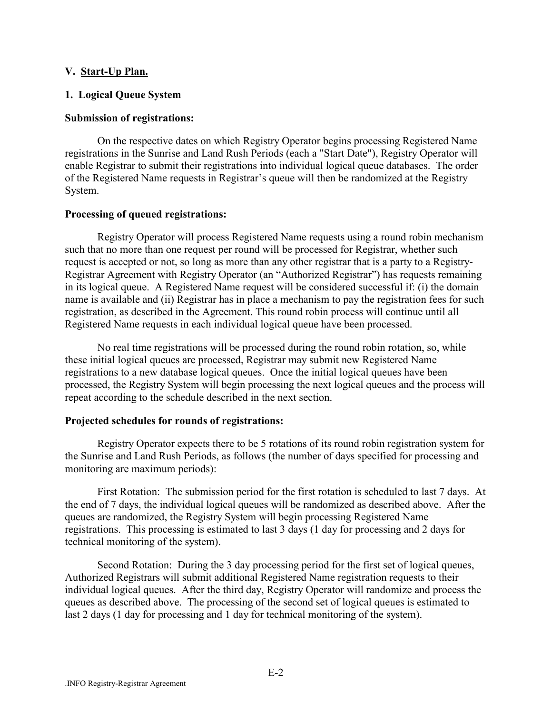#### **V. Start-Up Plan.**

### **1. Logical Queue System**

#### **Submission of registrations:**

On the respective dates on which Registry Operator begins processing Registered Name registrations in the Sunrise and Land Rush Periods (each a "Start Date"), Registry Operator will enable Registrar to submit their registrations into individual logical queue databases. The order of the Registered Name requests in Registrar's queue will then be randomized at the Registry System.

#### **Processing of queued registrations:**

Registry Operator will process Registered Name requests using a round robin mechanism such that no more than one request per round will be processed for Registrar, whether such request is accepted or not, so long as more than any other registrar that is a party to a Registry-Registrar Agreement with Registry Operator (an "Authorized Registrar") has requests remaining in its logical queue. A Registered Name request will be considered successful if: (i) the domain name is available and (ii) Registrar has in place a mechanism to pay the registration fees for such registration, as described in the Agreement. This round robin process will continue until all Registered Name requests in each individual logical queue have been processed.

No real time registrations will be processed during the round robin rotation, so, while these initial logical queues are processed, Registrar may submit new Registered Name registrations to a new database logical queues. Once the initial logical queues have been processed, the Registry System will begin processing the next logical queues and the process will repeat according to the schedule described in the next section.

#### **Projected schedules for rounds of registrations:**

Registry Operator expects there to be 5 rotations of its round robin registration system for the Sunrise and Land Rush Periods, as follows (the number of days specified for processing and monitoring are maximum periods):

First Rotation: The submission period for the first rotation is scheduled to last 7 days. At the end of 7 days, the individual logical queues will be randomized as described above. After the queues are randomized, the Registry System will begin processing Registered Name registrations. This processing is estimated to last 3 days (1 day for processing and 2 days for technical monitoring of the system).

Second Rotation: During the 3 day processing period for the first set of logical queues, Authorized Registrars will submit additional Registered Name registration requests to their individual logical queues. After the third day, Registry Operator will randomize and process the queues as described above. The processing of the second set of logical queues is estimated to last 2 days (1 day for processing and 1 day for technical monitoring of the system).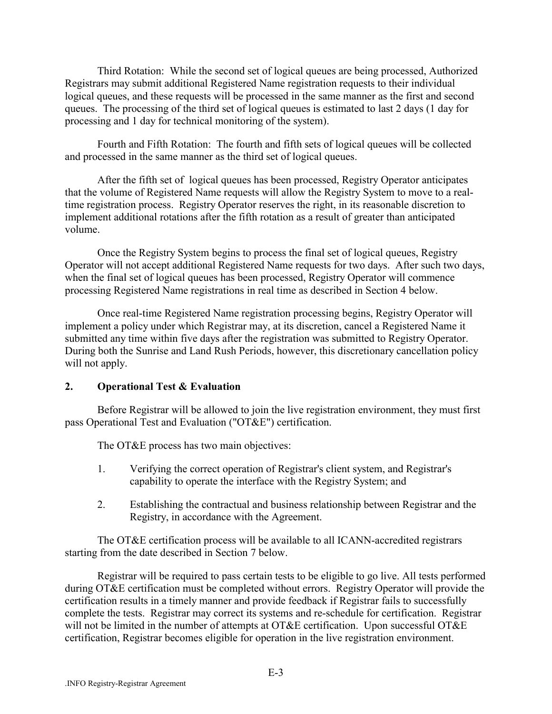Third Rotation: While the second set of logical queues are being processed, Authorized Registrars may submit additional Registered Name registration requests to their individual logical queues, and these requests will be processed in the same manner as the first and second queues. The processing of the third set of logical queues is estimated to last 2 days (1 day for processing and 1 day for technical monitoring of the system).

Fourth and Fifth Rotation: The fourth and fifth sets of logical queues will be collected and processed in the same manner as the third set of logical queues.

After the fifth set of logical queues has been processed, Registry Operator anticipates that the volume of Registered Name requests will allow the Registry System to move to a realtime registration process. Registry Operator reserves the right, in its reasonable discretion to implement additional rotations after the fifth rotation as a result of greater than anticipated volume.

Once the Registry System begins to process the final set of logical queues, Registry Operator will not accept additional Registered Name requests for two days. After such two days, when the final set of logical queues has been processed, Registry Operator will commence processing Registered Name registrations in real time as described in Section 4 below.

Once real-time Registered Name registration processing begins, Registry Operator will implement a policy under which Registrar may, at its discretion, cancel a Registered Name it submitted any time within five days after the registration was submitted to Registry Operator. During both the Sunrise and Land Rush Periods, however, this discretionary cancellation policy will not apply.

### **2. Operational Test & Evaluation**

Before Registrar will be allowed to join the live registration environment, they must first pass Operational Test and Evaluation ("OT&E") certification.

The OT&E process has two main objectives:

- 1. Verifying the correct operation of Registrar's client system, and Registrar's capability to operate the interface with the Registry System; and
- 2. Establishing the contractual and business relationship between Registrar and the Registry, in accordance with the Agreement.

The OT&E certification process will be available to all ICANN-accredited registrars starting from the date described in Section 7 below.

Registrar will be required to pass certain tests to be eligible to go live. All tests performed during OT&E certification must be completed without errors. Registry Operator will provide the certification results in a timely manner and provide feedback if Registrar fails to successfully complete the tests. Registrar may correct its systems and re-schedule for certification. Registrar will not be limited in the number of attempts at OT&E certification. Upon successful OT&E certification, Registrar becomes eligible for operation in the live registration environment.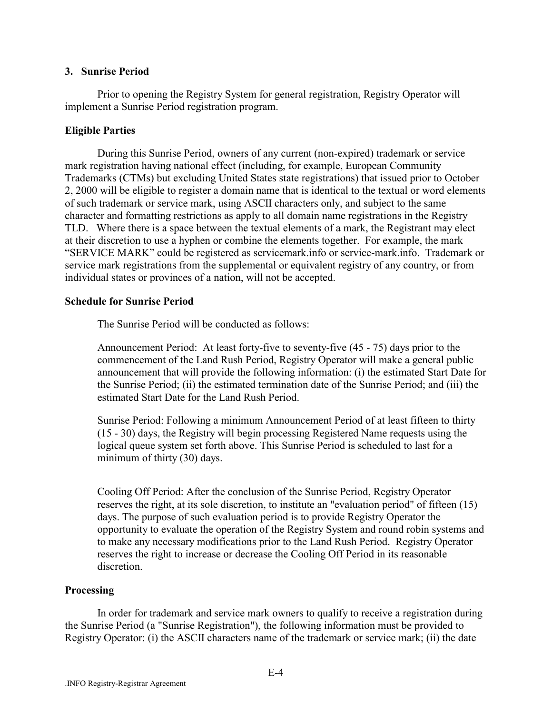#### **3. Sunrise Period**

Prior to opening the Registry System for general registration, Registry Operator will implement a Sunrise Period registration program.

### **Eligible Parties**

During this Sunrise Period, owners of any current (non-expired) trademark or service mark registration having national effect (including, for example, European Community Trademarks (CTMs) but excluding United States state registrations) that issued prior to October 2, 2000 will be eligible to register a domain name that is identical to the textual or word elements of such trademark or service mark, using ASCII characters only, and subject to the same character and formatting restrictions as apply to all domain name registrations in the Registry TLD. Where there is a space between the textual elements of a mark, the Registrant may elect at their discretion to use a hyphen or combine the elements together. For example, the mark "SERVICE MARK" could be registered as servicemark.info or service-mark.info. Trademark or service mark registrations from the supplemental or equivalent registry of any country, or from individual states or provinces of a nation, will not be accepted.

### **Schedule for Sunrise Period**

The Sunrise Period will be conducted as follows:

Announcement Period: At least forty-five to seventy-five (45 - 75) days prior to the commencement of the Land Rush Period, Registry Operator will make a general public announcement that will provide the following information: (i) the estimated Start Date for the Sunrise Period; (ii) the estimated termination date of the Sunrise Period; and (iii) the estimated Start Date for the Land Rush Period.

Sunrise Period: Following a minimum Announcement Period of at least fifteen to thirty (15 - 30) days, the Registry will begin processing Registered Name requests using the logical queue system set forth above. This Sunrise Period is scheduled to last for a minimum of thirty (30) days.

Cooling Off Period: After the conclusion of the Sunrise Period, Registry Operator reserves the right, at its sole discretion, to institute an "evaluation period" of fifteen (15) days. The purpose of such evaluation period is to provide Registry Operator the opportunity to evaluate the operation of the Registry System and round robin systems and to make any necessary modifications prior to the Land Rush Period. Registry Operator reserves the right to increase or decrease the Cooling Off Period in its reasonable discretion.

### **Processing**

In order for trademark and service mark owners to qualify to receive a registration during the Sunrise Period (a "Sunrise Registration"), the following information must be provided to Registry Operator: (i) the ASCII characters name of the trademark or service mark; (ii) the date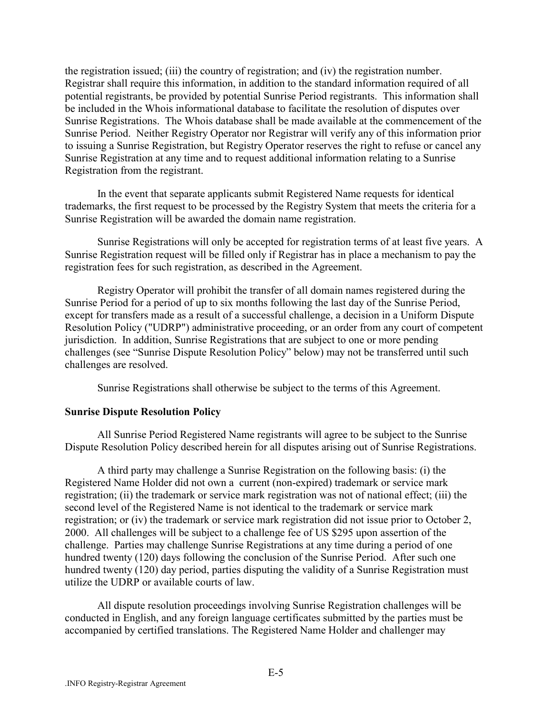the registration issued; (iii) the country of registration; and (iv) the registration number. Registrar shall require this information, in addition to the standard information required of all potential registrants, be provided by potential Sunrise Period registrants. This information shall be included in the Whois informational database to facilitate the resolution of disputes over Sunrise Registrations. The Whois database shall be made available at the commencement of the Sunrise Period. Neither Registry Operator nor Registrar will verify any of this information prior to issuing a Sunrise Registration, but Registry Operator reserves the right to refuse or cancel any Sunrise Registration at any time and to request additional information relating to a Sunrise Registration from the registrant.

In the event that separate applicants submit Registered Name requests for identical trademarks, the first request to be processed by the Registry System that meets the criteria for a Sunrise Registration will be awarded the domain name registration.

Sunrise Registrations will only be accepted for registration terms of at least five years. A Sunrise Registration request will be filled only if Registrar has in place a mechanism to pay the registration fees for such registration, as described in the Agreement.

Registry Operator will prohibit the transfer of all domain names registered during the Sunrise Period for a period of up to six months following the last day of the Sunrise Period, except for transfers made as a result of a successful challenge, a decision in a Uniform Dispute Resolution Policy ("UDRP") administrative proceeding, or an order from any court of competent jurisdiction. In addition, Sunrise Registrations that are subject to one or more pending challenges (see "Sunrise Dispute Resolution Policy" below) may not be transferred until such challenges are resolved.

Sunrise Registrations shall otherwise be subject to the terms of this Agreement.

#### **Sunrise Dispute Resolution Policy**

All Sunrise Period Registered Name registrants will agree to be subject to the Sunrise Dispute Resolution Policy described herein for all disputes arising out of Sunrise Registrations.

A third party may challenge a Sunrise Registration on the following basis: (i) the Registered Name Holder did not own a current (non-expired) trademark or service mark registration; (ii) the trademark or service mark registration was not of national effect; (iii) the second level of the Registered Name is not identical to the trademark or service mark registration; or (iv) the trademark or service mark registration did not issue prior to October 2, 2000. All challenges will be subject to a challenge fee of US \$295 upon assertion of the challenge. Parties may challenge Sunrise Registrations at any time during a period of one hundred twenty (120) days following the conclusion of the Sunrise Period. After such one hundred twenty (120) day period, parties disputing the validity of a Sunrise Registration must utilize the UDRP or available courts of law.

All dispute resolution proceedings involving Sunrise Registration challenges will be conducted in English, and any foreign language certificates submitted by the parties must be accompanied by certified translations. The Registered Name Holder and challenger may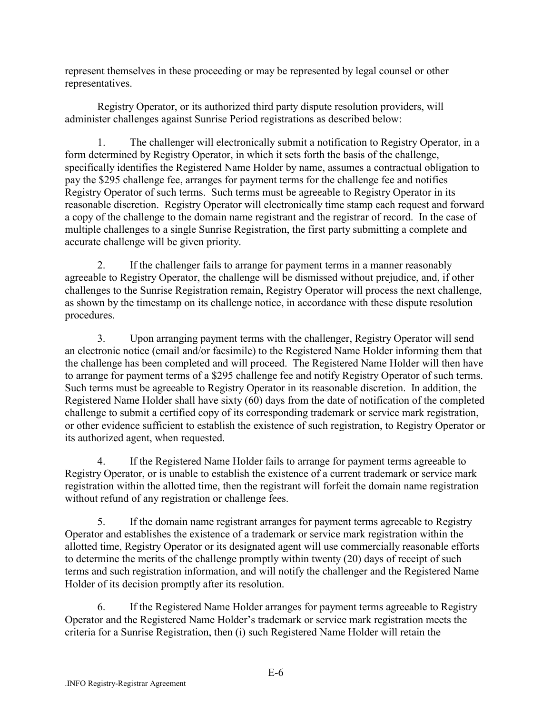represent themselves in these proceeding or may be represented by legal counsel or other representatives.

Registry Operator, or its authorized third party dispute resolution providers, will administer challenges against Sunrise Period registrations as described below:

1. The challenger will electronically submit a notification to Registry Operator, in a form determined by Registry Operator, in which it sets forth the basis of the challenge, specifically identifies the Registered Name Holder by name, assumes a contractual obligation to pay the \$295 challenge fee, arranges for payment terms for the challenge fee and notifies Registry Operator of such terms. Such terms must be agreeable to Registry Operator in its reasonable discretion. Registry Operator will electronically time stamp each request and forward a copy of the challenge to the domain name registrant and the registrar of record. In the case of multiple challenges to a single Sunrise Registration, the first party submitting a complete and accurate challenge will be given priority.

2. If the challenger fails to arrange for payment terms in a manner reasonably agreeable to Registry Operator, the challenge will be dismissed without prejudice, and, if other challenges to the Sunrise Registration remain, Registry Operator will process the next challenge, as shown by the timestamp on its challenge notice, in accordance with these dispute resolution procedures.

3. Upon arranging payment terms with the challenger, Registry Operator will send an electronic notice (email and/or facsimile) to the Registered Name Holder informing them that the challenge has been completed and will proceed. The Registered Name Holder will then have to arrange for payment terms of a \$295 challenge fee and notify Registry Operator of such terms. Such terms must be agreeable to Registry Operator in its reasonable discretion. In addition, the Registered Name Holder shall have sixty (60) days from the date of notification of the completed challenge to submit a certified copy of its corresponding trademark or service mark registration, or other evidence sufficient to establish the existence of such registration, to Registry Operator or its authorized agent, when requested.

4. If the Registered Name Holder fails to arrange for payment terms agreeable to Registry Operator, or is unable to establish the existence of a current trademark or service mark registration within the allotted time, then the registrant will forfeit the domain name registration without refund of any registration or challenge fees.

5. If the domain name registrant arranges for payment terms agreeable to Registry Operator and establishes the existence of a trademark or service mark registration within the allotted time, Registry Operator or its designated agent will use commercially reasonable efforts to determine the merits of the challenge promptly within twenty (20) days of receipt of such terms and such registration information, and will notify the challenger and the Registered Name Holder of its decision promptly after its resolution.

6. If the Registered Name Holder arranges for payment terms agreeable to Registry Operator and the Registered Name Holder's trademark or service mark registration meets the criteria for a Sunrise Registration, then (i) such Registered Name Holder will retain the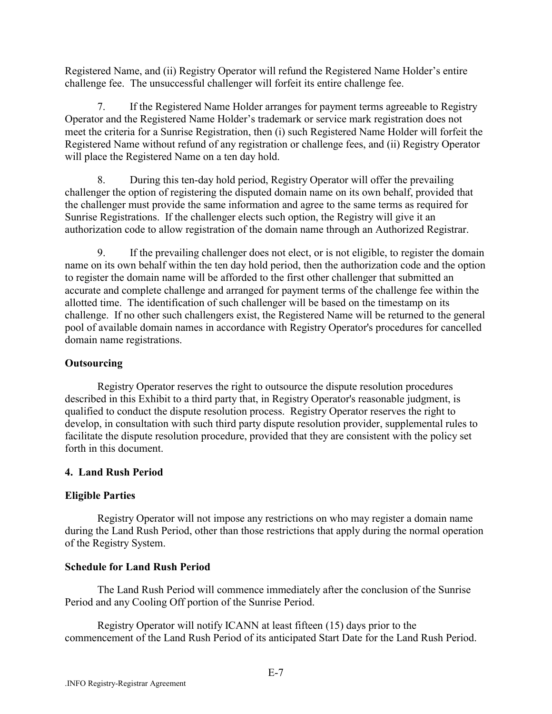Registered Name, and (ii) Registry Operator will refund the Registered Name Holder's entire challenge fee. The unsuccessful challenger will forfeit its entire challenge fee.

7. If the Registered Name Holder arranges for payment terms agreeable to Registry Operator and the Registered Name Holder's trademark or service mark registration does not meet the criteria for a Sunrise Registration, then (i) such Registered Name Holder will forfeit the Registered Name without refund of any registration or challenge fees, and (ii) Registry Operator will place the Registered Name on a ten day hold.

8. During this ten-day hold period, Registry Operator will offer the prevailing challenger the option of registering the disputed domain name on its own behalf, provided that the challenger must provide the same information and agree to the same terms as required for Sunrise Registrations. If the challenger elects such option, the Registry will give it an authorization code to allow registration of the domain name through an Authorized Registrar.

9. If the prevailing challenger does not elect, or is not eligible, to register the domain name on its own behalf within the ten day hold period, then the authorization code and the option to register the domain name will be afforded to the first other challenger that submitted an accurate and complete challenge and arranged for payment terms of the challenge fee within the allotted time. The identification of such challenger will be based on the timestamp on its challenge. If no other such challengers exist, the Registered Name will be returned to the general pool of available domain names in accordance with Registry Operator's procedures for cancelled domain name registrations.

### **Outsourcing**

Registry Operator reserves the right to outsource the dispute resolution procedures described in this Exhibit to a third party that, in Registry Operator's reasonable judgment, is qualified to conduct the dispute resolution process. Registry Operator reserves the right to develop, in consultation with such third party dispute resolution provider, supplemental rules to facilitate the dispute resolution procedure, provided that they are consistent with the policy set forth in this document.

# **4. Land Rush Period**

# **Eligible Parties**

Registry Operator will not impose any restrictions on who may register a domain name during the Land Rush Period, other than those restrictions that apply during the normal operation of the Registry System.

# **Schedule for Land Rush Period**

The Land Rush Period will commence immediately after the conclusion of the Sunrise Period and any Cooling Off portion of the Sunrise Period.

Registry Operator will notify ICANN at least fifteen (15) days prior to the commencement of the Land Rush Period of its anticipated Start Date for the Land Rush Period.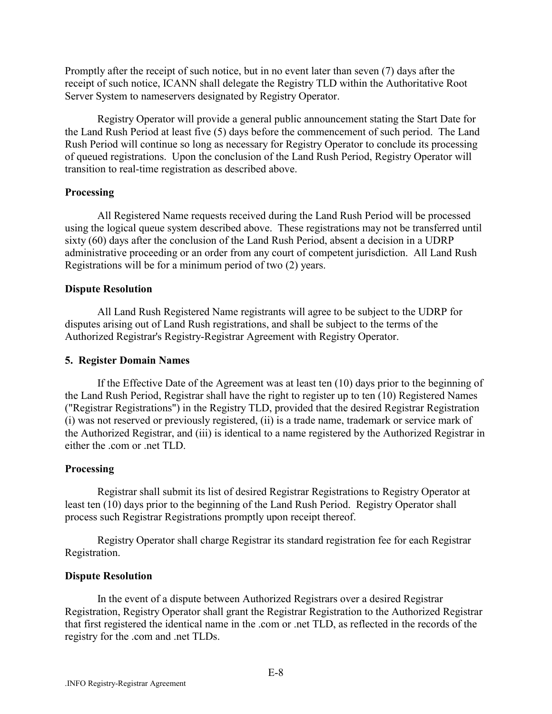Promptly after the receipt of such notice, but in no event later than seven (7) days after the receipt of such notice, ICANN shall delegate the Registry TLD within the Authoritative Root Server System to nameservers designated by Registry Operator.

Registry Operator will provide a general public announcement stating the Start Date for the Land Rush Period at least five (5) days before the commencement of such period. The Land Rush Period will continue so long as necessary for Registry Operator to conclude its processing of queued registrations. Upon the conclusion of the Land Rush Period, Registry Operator will transition to real-time registration as described above.

#### **Processing**

All Registered Name requests received during the Land Rush Period will be processed using the logical queue system described above. These registrations may not be transferred until sixty (60) days after the conclusion of the Land Rush Period, absent a decision in a UDRP administrative proceeding or an order from any court of competent jurisdiction. All Land Rush Registrations will be for a minimum period of two (2) years.

### **Dispute Resolution**

All Land Rush Registered Name registrants will agree to be subject to the UDRP for disputes arising out of Land Rush registrations, and shall be subject to the terms of the Authorized Registrar's Registry-Registrar Agreement with Registry Operator.

#### **5. Register Domain Names**

If the Effective Date of the Agreement was at least ten (10) days prior to the beginning of the Land Rush Period, Registrar shall have the right to register up to ten (10) Registered Names ("Registrar Registrations") in the Registry TLD, provided that the desired Registrar Registration (i) was not reserved or previously registered, (ii) is a trade name, trademark or service mark of the Authorized Registrar, and (iii) is identical to a name registered by the Authorized Registrar in either the .com or .net TLD.

#### **Processing**

Registrar shall submit its list of desired Registrar Registrations to Registry Operator at least ten (10) days prior to the beginning of the Land Rush Period. Registry Operator shall process such Registrar Registrations promptly upon receipt thereof.

Registry Operator shall charge Registrar its standard registration fee for each Registrar Registration.

### **Dispute Resolution**

In the event of a dispute between Authorized Registrars over a desired Registrar Registration, Registry Operator shall grant the Registrar Registration to the Authorized Registrar that first registered the identical name in the .com or .net TLD, as reflected in the records of the registry for the .com and .net TLDs.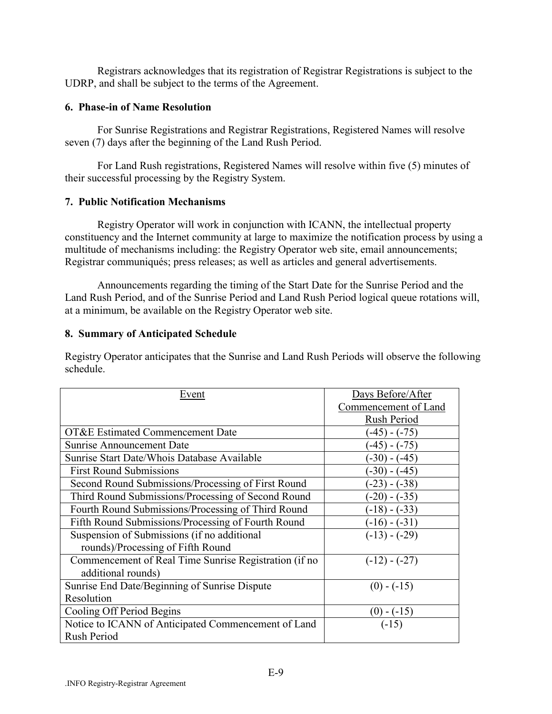Registrars acknowledges that its registration of Registrar Registrations is subject to the UDRP, and shall be subject to the terms of the Agreement.

### **6. Phase-in of Name Resolution**

For Sunrise Registrations and Registrar Registrations, Registered Names will resolve seven (7) days after the beginning of the Land Rush Period.

For Land Rush registrations, Registered Names will resolve within five (5) minutes of their successful processing by the Registry System.

### **7. Public Notification Mechanisms**

Registry Operator will work in conjunction with ICANN, the intellectual property constituency and the Internet community at large to maximize the notification process by using a multitude of mechanisms including: the Registry Operator web site, email announcements; Registrar communiqués; press releases; as well as articles and general advertisements.

Announcements regarding the timing of the Start Date for the Sunrise Period and the Land Rush Period, and of the Sunrise Period and Land Rush Period logical queue rotations will, at a minimum, be available on the Registry Operator web site.

### **8. Summary of Anticipated Schedule**

Registry Operator anticipates that the Sunrise and Land Rush Periods will observe the following schedule.

| Event                                                 | Days Before/After    |
|-------------------------------------------------------|----------------------|
|                                                       | Commencement of Land |
|                                                       | Rush Period          |
| OT&E Estimated Commencement Date                      | $(-45) - (-75)$      |
| <b>Sunrise Announcement Date</b>                      | $(-45)$ - $(-75)$    |
| Sunrise Start Date/Whois Database Available           | $(-30)$ - $(-45)$    |
| <b>First Round Submissions</b>                        | $(-30)$ - $(-45)$    |
| Second Round Submissions/Processing of First Round    | $(-23) - (-38)$      |
| Third Round Submissions/Processing of Second Round    | $(-20)$ - $(-35)$    |
| Fourth Round Submissions/Processing of Third Round    | $(-18)$ - $(-33)$    |
| Fifth Round Submissions/Processing of Fourth Round    | $(-16)$ - $(-31)$    |
| Suspension of Submissions (if no additional           | $(-13) - (-29)$      |
| rounds)/Processing of Fifth Round                     |                      |
| Commencement of Real Time Sunrise Registration (if no | $(-12) - (-27)$      |
| additional rounds)                                    |                      |
| Sunrise End Date/Beginning of Sunrise Dispute         | $(0) - (-15)$        |
| Resolution                                            |                      |
| Cooling Off Period Begins                             | $(0)$ - (-15)        |
| Notice to ICANN of Anticipated Commencement of Land   | $(-15)$              |
| Rush Period                                           |                      |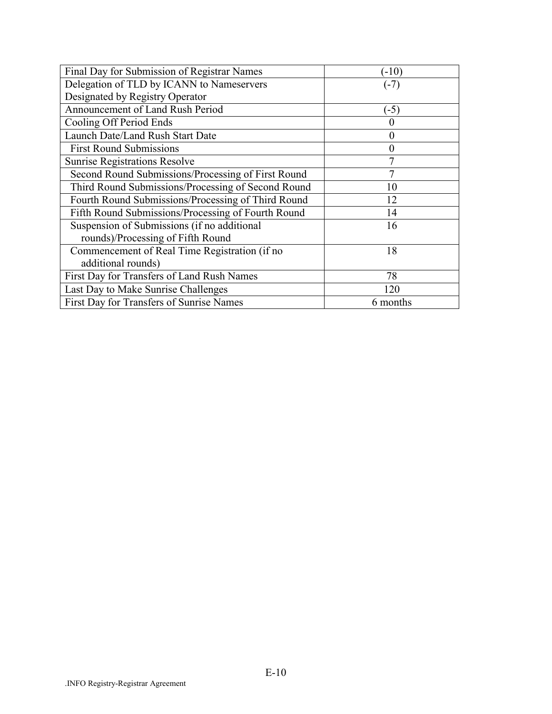| Final Day for Submission of Registrar Names        | $(-10)$        |
|----------------------------------------------------|----------------|
| Delegation of TLD by ICANN to Nameservers          | $(-7)$         |
| Designated by Registry Operator                    |                |
| Announcement of Land Rush Period                   | $(-5)$         |
| Cooling Off Period Ends                            | O              |
| Launch Date/Land Rush Start Date                   | 0              |
| <b>First Round Submissions</b>                     | $\overline{0}$ |
| <b>Sunrise Registrations Resolve</b>               |                |
| Second Round Submissions/Processing of First Round | 7              |
| Third Round Submissions/Processing of Second Round | 10             |
| Fourth Round Submissions/Processing of Third Round | 12             |
| Fifth Round Submissions/Processing of Fourth Round | 14             |
| Suspension of Submissions (if no additional        | 16             |
| rounds)/Processing of Fifth Round                  |                |
| Commencement of Real Time Registration (if no      | 18             |
| additional rounds)                                 |                |
| First Day for Transfers of Land Rush Names         | 78             |
| Last Day to Make Sunrise Challenges                | 120            |
| First Day for Transfers of Sunrise Names           | 6 months       |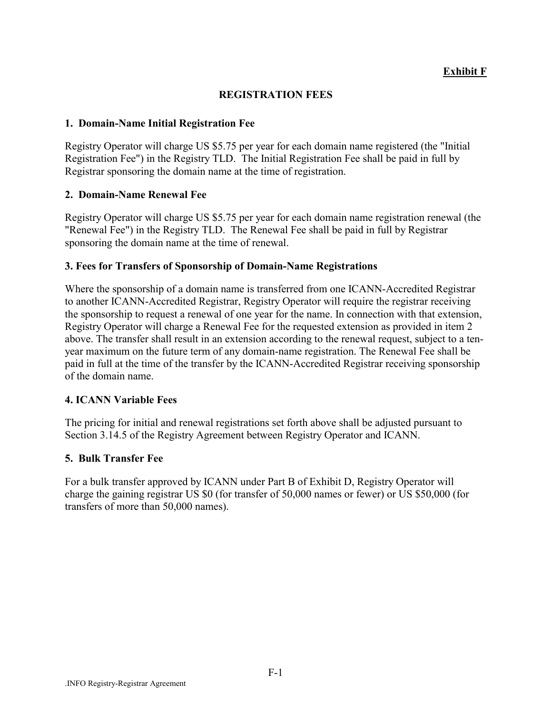### **Exhibit F**

#### **REGISTRATION FEES**

#### **1. Domain-Name Initial Registration Fee**

Registry Operator will charge US \$5.75 per year for each domain name registered (the "Initial Registration Fee") in the Registry TLD. The Initial Registration Fee shall be paid in full by Registrar sponsoring the domain name at the time of registration.

### **2. Domain-Name Renewal Fee**

Registry Operator will charge US \$5.75 per year for each domain name registration renewal (the "Renewal Fee") in the Registry TLD. The Renewal Fee shall be paid in full by Registrar sponsoring the domain name at the time of renewal.

### **3. Fees for Transfers of Sponsorship of Domain-Name Registrations**

Where the sponsorship of a domain name is transferred from one ICANN-Accredited Registrar to another ICANN-Accredited Registrar, Registry Operator will require the registrar receiving the sponsorship to request a renewal of one year for the name. In connection with that extension, Registry Operator will charge a Renewal Fee for the requested extension as provided in item 2 above. The transfer shall result in an extension according to the renewal request, subject to a tenyear maximum on the future term of any domain-name registration. The Renewal Fee shall be paid in full at the time of the transfer by the ICANN-Accredited Registrar receiving sponsorship of the domain name.

### **4. ICANN Variable Fees**

The pricing for initial and renewal registrations set forth above shall be adjusted pursuant to Section 3.14.5 of the Registry Agreement between Registry Operator and ICANN.

### **5. Bulk Transfer Fee**

For a bulk transfer approved by ICANN under Part B of Exhibit D, Registry Operator will charge the gaining registrar US \$0 (for transfer of 50,000 names or fewer) or US \$50,000 (for transfers of more than 50,000 names).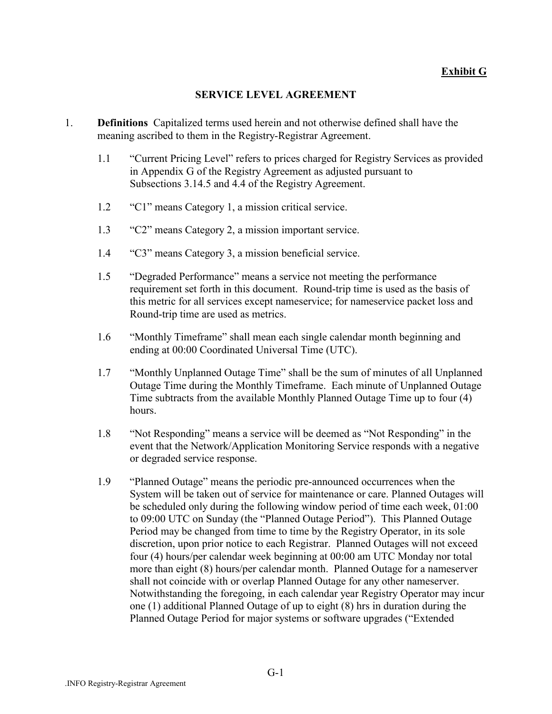### **Exhibit G**

### **SERVICE LEVEL AGREEMENT**

- 1. **Definitions** Capitalized terms used herein and not otherwise defined shall have the meaning ascribed to them in the Registry-Registrar Agreement.
	- 1.1 <sup>•</sup>Current Pricing Level" refers to prices charged for Registry Services as provided in Appendix G of the Registry Agreement as adjusted pursuant to Subsections 3.14.5 and 4.4 of the Registry Agreement.
	- 1.2 <sup>"</sup>C1" means Category 1, a mission critical service.
	- 1.3 <sup>•</sup>C2" means Category 2, a mission important service.
	- 1.4 <sup>•</sup>C3" means Category 3, a mission beneficial service.
	- 1.5 <sup>•</sup>Degraded Performance" means a service not meeting the performance requirement set forth in this document. Round-trip time is used as the basis of this metric for all services except nameservice; for nameservice packet loss and Round-trip time are used as metrics.
	- 1.6 *Wonthly Timeframe*" shall mean each single calendar month beginning and ending at 00:00 Coordinated Universal Time (UTC).
	- 1.7 *i*Monthly Unplanned Outage Time" shall be the sum of minutes of all Unplanned Outage Time during the Monthly Timeframe. Each minute of Unplanned Outage Time subtracts from the available Monthly Planned Outage Time up to four (4) hours.
	- 1.8 <sup>•</sup>Not Responding" means a service will be deemed as "Not Responding" in the event that the Network/Application Monitoring Service responds with a negative or degraded service response.
	- 1.9 <sup>•</sup>Planned Outage" means the periodic pre-announced occurrences when the System will be taken out of service for maintenance or care. Planned Outages will be scheduled only during the following window period of time each week, 01:00 to 09:00 UTC on Sunday (the "Planned Outage Period"). This Planned Outage Period may be changed from time to time by the Registry Operator, in its sole discretion, upon prior notice to each Registrar. Planned Outages will not exceed four (4) hours/per calendar week beginning at 00:00 am UTC Monday nor total more than eight (8) hours/per calendar month. Planned Outage for a nameserver shall not coincide with or overlap Planned Outage for any other nameserver. Notwithstanding the foregoing, in each calendar year Registry Operator may incur one (1) additional Planned Outage of up to eight (8) hrs in duration during the Planned Outage Period for major systems or software upgrades ("Extended"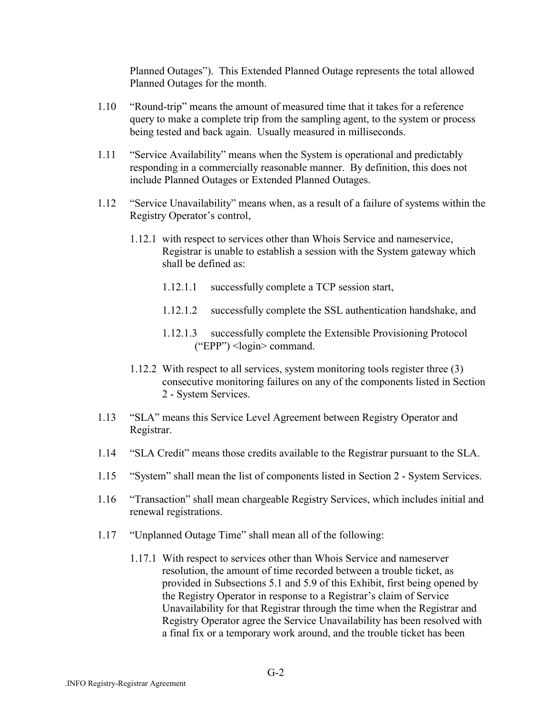Planned Outagesî). This Extended Planned Outage represents the total allowed Planned Outages for the month.

- 1.10 "Round-trip" means the amount of measured time that it takes for a reference query to make a complete trip from the sampling agent, to the system or process being tested and back again. Usually measured in milliseconds.
- 1.11 <sup>\*</sup>Service Availability" means when the System is operational and predictably responding in a commercially reasonable manner. By definition, this does not include Planned Outages or Extended Planned Outages.
- 1.12 "Service Unavailability" means when, as a result of a failure of systems within the Registry Operator's control,
	- 1.12.1 with respect to services other than Whois Service and nameservice, Registrar is unable to establish a session with the System gateway which shall be defined as:
		- 1.12.1.1 successfully complete a TCP session start,
		- 1.12.1.2 successfully complete the SSL authentication handshake, and
		- 1.12.1.3 successfully complete the Extensible Provisioning Protocol  $("EPP")$  <login> command.
	- 1.12.2 With respect to all services, system monitoring tools register three (3) consecutive monitoring failures on any of the components listed in Section 2 - System Services.
- 1.13 "SLA" means this Service Level Agreement between Registry Operator and Registrar.
- 1.14 **SLA Credit** means those credits available to the Registrar pursuant to the SLA.
- 1.15 "System" shall mean the list of components listed in Section 2 System Services.
- 1.16 "Transaction" shall mean chargeable Registry Services, which includes initial and renewal registrations.
- 1.17 "Unplanned Outage Time" shall mean all of the following:
	- 1.17.1 With respect to services other than Whois Service and nameserver resolution, the amount of time recorded between a trouble ticket, as provided in Subsections 5.1 and 5.9 of this Exhibit, first being opened by the Registry Operator in response to a Registrar's claim of Service Unavailability for that Registrar through the time when the Registrar and Registry Operator agree the Service Unavailability has been resolved with a final fix or a temporary work around, and the trouble ticket has been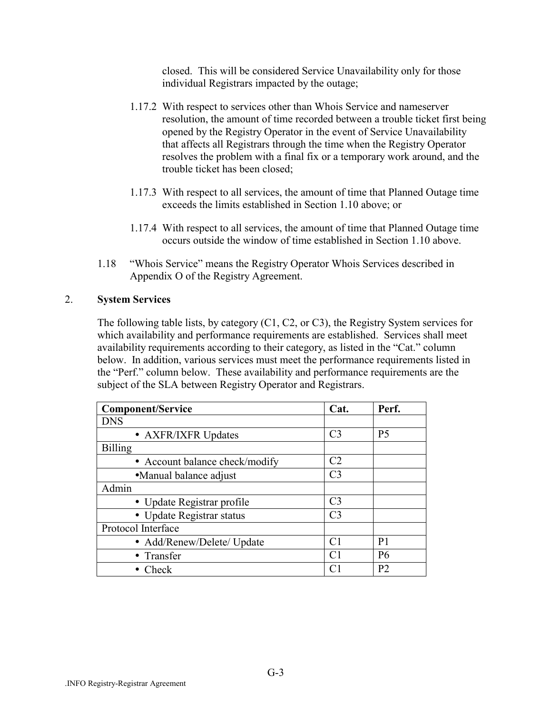closed. This will be considered Service Unavailability only for those individual Registrars impacted by the outage;

- 1.17.2 With respect to services other than Whois Service and nameserver resolution, the amount of time recorded between a trouble ticket first being opened by the Registry Operator in the event of Service Unavailability that affects all Registrars through the time when the Registry Operator resolves the problem with a final fix or a temporary work around, and the trouble ticket has been closed;
- 1.17.3 With respect to all services, the amount of time that Planned Outage time exceeds the limits established in Section 1.10 above; or
- 1.17.4 With respect to all services, the amount of time that Planned Outage time occurs outside the window of time established in Section 1.10 above.
- 1.18 *Whois Service*" means the Registry Operator Whois Services described in Appendix O of the Registry Agreement.

### 2. **System Services**

The following table lists, by category (C1, C2, or C3), the Registry System services for which availability and performance requirements are established. Services shall meet availability requirements according to their category, as listed in the "Cat." column below. In addition, various services must meet the performance requirements listed in the "Perf." column below. These availability and performance requirements are the subject of the SLA between Registry Operator and Registrars.

| <b>Component/Service</b>       | Cat.           | Perf.          |
|--------------------------------|----------------|----------------|
| <b>DNS</b>                     |                |                |
| • AXFR/IXFR Updates            | C <sub>3</sub> | <b>P5</b>      |
| <b>Billing</b>                 |                |                |
| • Account balance check/modify | C <sub>2</sub> |                |
| • Manual balance adjust        | C <sub>3</sub> |                |
| Admin                          |                |                |
| • Update Registrar profile     | C <sub>3</sub> |                |
| • Update Registrar status      | C <sub>3</sub> |                |
| Protocol Interface             |                |                |
| • Add/Renew/Delete/ Update     | C <sub>1</sub> | P <sub>1</sub> |
| • Transfer                     | C <sub>1</sub> | <b>P6</b>      |
| Check                          | C <sub>1</sub> | P <sub>2</sub> |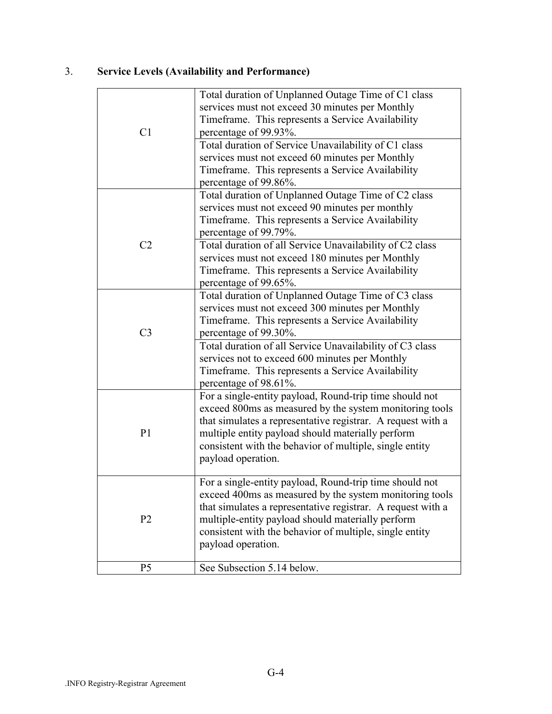# 3. **Service Levels (Availability and Performance)**

| C <sub>1</sub> | Total duration of Unplanned Outage Time of C1 class<br>services must not exceed 30 minutes per Monthly<br>Timeframe. This represents a Service Availability<br>percentage of 99.93%.                                                                                                                                    |
|----------------|-------------------------------------------------------------------------------------------------------------------------------------------------------------------------------------------------------------------------------------------------------------------------------------------------------------------------|
|                | Total duration of Service Unavailability of C1 class<br>services must not exceed 60 minutes per Monthly<br>Timeframe. This represents a Service Availability<br>percentage of 99.86%.                                                                                                                                   |
|                | Total duration of Unplanned Outage Time of C2 class<br>services must not exceed 90 minutes per monthly<br>Timeframe. This represents a Service Availability<br>percentage of 99.79%.                                                                                                                                    |
| C <sub>2</sub> | Total duration of all Service Unavailability of C2 class<br>services must not exceed 180 minutes per Monthly<br>Timeframe. This represents a Service Availability<br>percentage of 99.65%.                                                                                                                              |
| C <sub>3</sub> | Total duration of Unplanned Outage Time of C3 class<br>services must not exceed 300 minutes per Monthly<br>Timeframe. This represents a Service Availability<br>percentage of 99.30%.                                                                                                                                   |
|                | Total duration of all Service Unavailability of C3 class<br>services not to exceed 600 minutes per Monthly<br>Timeframe. This represents a Service Availability<br>percentage of 98.61%.                                                                                                                                |
| P <sub>1</sub> | For a single-entity payload, Round-trip time should not<br>exceed 800ms as measured by the system monitoring tools<br>that simulates a representative registrar. A request with a<br>multiple entity payload should materially perform<br>consistent with the behavior of multiple, single entity<br>payload operation. |
| P <sub>2</sub> | For a single-entity payload, Round-trip time should not<br>exceed 400ms as measured by the system monitoring tools<br>that simulates a representative registrar. A request with a<br>multiple-entity payload should materially perform<br>consistent with the behavior of multiple, single entity<br>payload operation. |
| P <sub>5</sub> | See Subsection 5.14 below.                                                                                                                                                                                                                                                                                              |
|                |                                                                                                                                                                                                                                                                                                                         |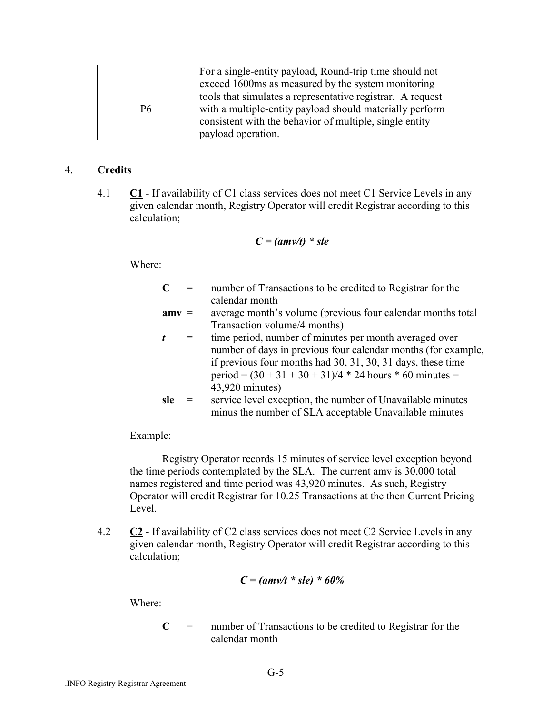|    | For a single-entity payload, Round-trip time should not<br>exceed 1600ms as measured by the system monitoring          |
|----|------------------------------------------------------------------------------------------------------------------------|
| P6 | tools that simulates a representative registrar. A request<br>with a multiple-entity payload should materially perform |
|    | consistent with the behavior of multiple, single entity<br>payload operation.                                          |

### 4. **Credits**

4.1 **C1** - If availability of C1 class services does not meet C1 Service Levels in any given calendar month, Registry Operator will credit Registrar according to this calculation;

$$
C = (amv/t) * sle
$$

Where:

| C       |     | number of Transactions to be credited to Registrar for the    |
|---------|-----|---------------------------------------------------------------|
|         |     | calendar month                                                |
| $amv =$ |     | average month's volume (previous four calendar months total   |
|         |     | Transaction volume/4 months)                                  |
|         | $=$ | time period, number of minutes per month averaged over        |
|         |     | number of days in previous four calendar months (for example, |
|         |     | if previous four months had 30, 31, 30, 31 days, these time   |
|         |     | period = $(30 + 31 + 30 + 31)/4$ * 24 hours * 60 minutes =    |
|         |     | 43,920 minutes)                                               |
| sle     |     | service level exception, the number of Unavailable minutes    |
|         |     | minus the number of SLA acceptable Unavailable minutes        |

Example:

Registry Operator records 15 minutes of service level exception beyond the time periods contemplated by the SLA. The current amv is 30,000 total names registered and time period was 43,920 minutes. As such, Registry Operator will credit Registrar for 10.25 Transactions at the then Current Pricing Level.

4.2 **C2** - If availability of C2 class services does not meet C2 Service Levels in any given calendar month, Registry Operator will credit Registrar according to this calculation;

$$
C = (amv/t * sle) * 60%
$$

Where:

**C** = number of Transactions to be credited to Registrar for the calendar month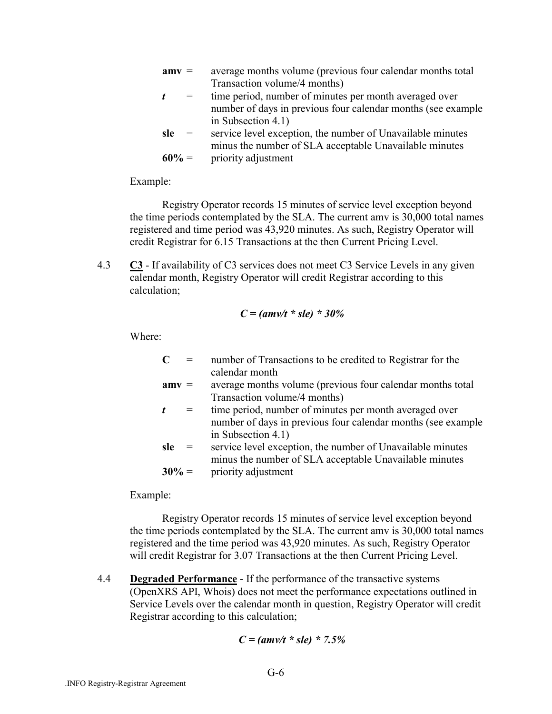| $amv =$ | average months volume (previous four calendar months total |
|---------|------------------------------------------------------------|
|         | Transaction volume/4 months)                               |

- *t* = time period, number of minutes per month averaged over number of days in previous four calendar months (see example in Subsection 4.1)
- **sle** = service level exception, the number of Unavailable minutes minus the number of SLA acceptable Unavailable minutes **60%** = priority adjustment

Example:

Registry Operator records 15 minutes of service level exception beyond the time periods contemplated by the SLA. The current amv is 30,000 total names registered and time period was 43,920 minutes. As such, Registry Operator will credit Registrar for 6.15 Transactions at the then Current Pricing Level.

4.3 **C3** - If availability of C3 services does not meet C3 Service Levels in any given calendar month, Registry Operator will credit Registrar according to this calculation;

$$
C = (amv/t * sle) * 30%
$$

Where:

| $\mathbf C$ | $=$ | number of Transactions to be credited to Registrar for the  |
|-------------|-----|-------------------------------------------------------------|
|             |     | calendar month                                              |
| $amv =$     |     | average months volume (previous four calendar months total) |

- Transaction volume/4 months) *t* = time period, number of minutes per month averaged over number of days in previous four calendar months (see example in Subsection 4.1)
- **sle** = service level exception, the number of Unavailable minutes minus the number of SLA acceptable Unavailable minutes **30%** = priority adjustment

Example:

Registry Operator records 15 minutes of service level exception beyond the time periods contemplated by the SLA. The current amv is 30,000 total names registered and the time period was 43,920 minutes. As such, Registry Operator will credit Registrar for 3.07 Transactions at the then Current Pricing Level.

4.4 **Degraded Performance** - If the performance of the transactive systems (OpenXRS API, Whois) does not meet the performance expectations outlined in Service Levels over the calendar month in question, Registry Operator will credit Registrar according to this calculation;

$$
C = (amv/t * sle) * 7.5%
$$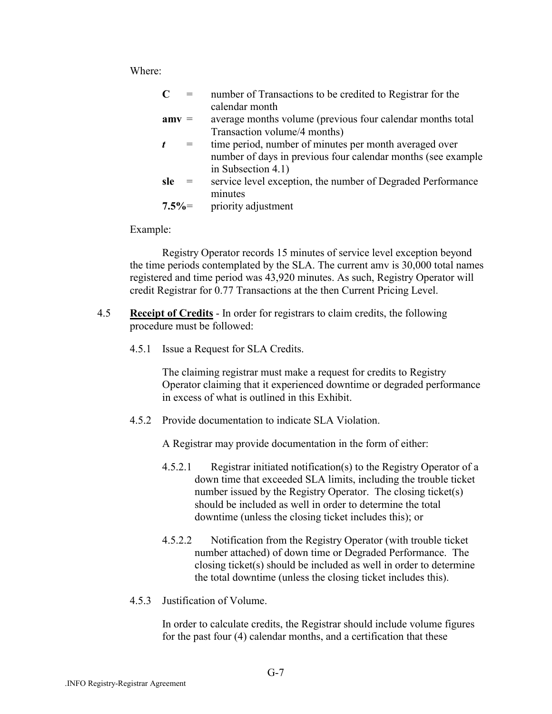Where:

| $\mathbf C$ |     | number of Transactions to be credited to Registrar for the    |
|-------------|-----|---------------------------------------------------------------|
|             |     | calendar month                                                |
| $amv =$     |     | average months volume (previous four calendar months total)   |
|             |     | Transaction volume/4 months)                                  |
| t           | $=$ | time period, number of minutes per month averaged over        |
|             |     | number of days in previous four calendar months (see example) |
|             |     | in Subsection 4.1)                                            |
| sle         | $=$ | service level exception, the number of Degraded Performance   |
|             |     | minutes                                                       |
| $7.5\% =$   |     | priority adjustment                                           |

Example:

Registry Operator records 15 minutes of service level exception beyond the time periods contemplated by the SLA. The current amv is 30,000 total names registered and time period was 43,920 minutes. As such, Registry Operator will credit Registrar for 0.77 Transactions at the then Current Pricing Level.

- 4.5 **Receipt of Credits** In order for registrars to claim credits, the following procedure must be followed:
	- 4.5.1 Issue a Request for SLA Credits.

The claiming registrar must make a request for credits to Registry Operator claiming that it experienced downtime or degraded performance in excess of what is outlined in this Exhibit.

4.5.2 Provide documentation to indicate SLA Violation.

A Registrar may provide documentation in the form of either:

- 4.5.2.1 Registrar initiated notification(s) to the Registry Operator of a down time that exceeded SLA limits, including the trouble ticket number issued by the Registry Operator. The closing ticket(s) should be included as well in order to determine the total downtime (unless the closing ticket includes this); or
- 4.5.2.2 Notification from the Registry Operator (with trouble ticket number attached) of down time or Degraded Performance. The closing ticket(s) should be included as well in order to determine the total downtime (unless the closing ticket includes this).
- 4.5.3 Justification of Volume.

In order to calculate credits, the Registrar should include volume figures for the past four (4) calendar months, and a certification that these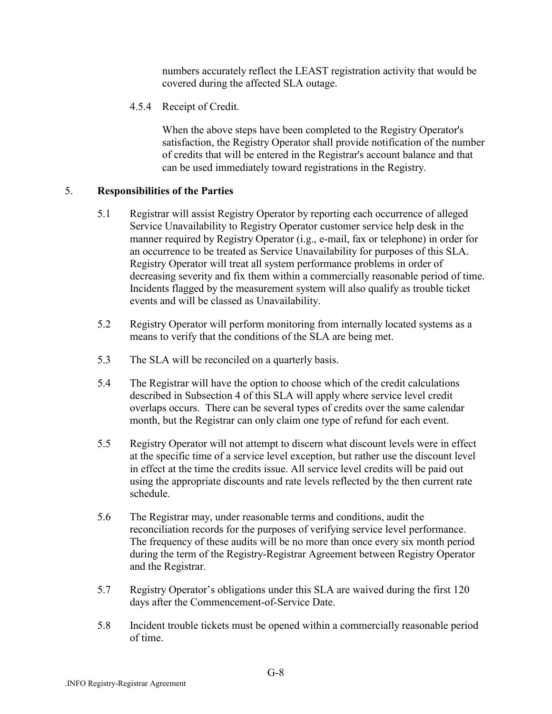numbers accurately reflect the LEAST registration activity that would be covered during the affected SLA outage.

4.5.4 Receipt of Credit.

When the above steps have been completed to the Registry Operator's satisfaction, the Registry Operator shall provide notification of the number of credits that will be entered in the Registrar's account balance and that can be used immediately toward registrations in the Registry.

### 5. **Responsibilities of the Parties**

- 5.1 Registrar will assist Registry Operator by reporting each occurrence of alleged Service Unavailability to Registry Operator customer service help desk in the manner required by Registry Operator (i.g., e-mail, fax or telephone) in order for an occurrence to be treated as Service Unavailability for purposes of this SLA. Registry Operator will treat all system performance problems in order of decreasing severity and fix them within a commercially reasonable period of time. Incidents flagged by the measurement system will also qualify as trouble ticket events and will be classed as Unavailability.
- 5.2 Registry Operator will perform monitoring from internally located systems as a means to verify that the conditions of the SLA are being met.
- 5.3 The SLA will be reconciled on a quarterly basis.
- 5.4 The Registrar will have the option to choose which of the credit calculations described in Subsection 4 of this SLA will apply where service level credit overlaps occurs. There can be several types of credits over the same calendar month, but the Registrar can only claim one type of refund for each event.
- 5.5 Registry Operator will not attempt to discern what discount levels were in effect at the specific time of a service level exception, but rather use the discount level in effect at the time the credits issue. All service level credits will be paid out using the appropriate discounts and rate levels reflected by the then current rate schedule.
- 5.6 The Registrar may, under reasonable terms and conditions, audit the reconciliation records for the purposes of verifying service level performance. The frequency of these audits will be no more than once every six month period during the term of the Registry-Registrar Agreement between Registry Operator and the Registrar.
- 5.7 Registry Operator's obligations under this SLA are waived during the first 120 days after the Commencement-of-Service Date.
- 5.8 Incident trouble tickets must be opened within a commercially reasonable period of time.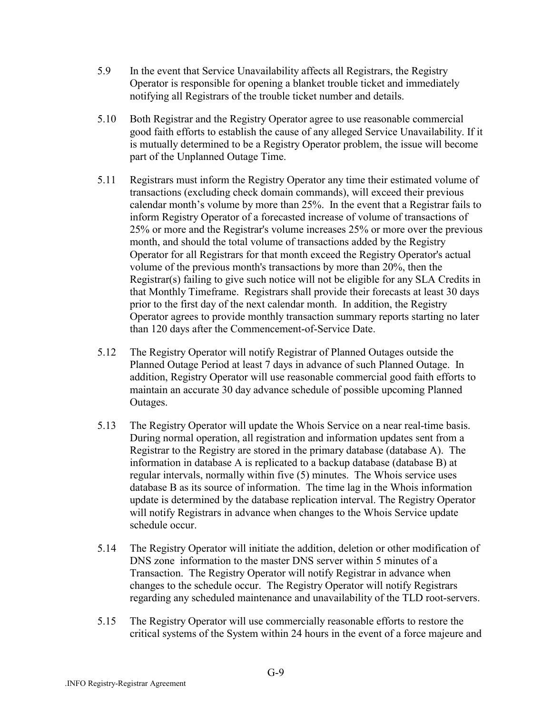- 5.9 In the event that Service Unavailability affects all Registrars, the Registry Operator is responsible for opening a blanket trouble ticket and immediately notifying all Registrars of the trouble ticket number and details.
- 5.10 Both Registrar and the Registry Operator agree to use reasonable commercial good faith efforts to establish the cause of any alleged Service Unavailability. If it is mutually determined to be a Registry Operator problem, the issue will become part of the Unplanned Outage Time.
- 5.11 Registrars must inform the Registry Operator any time their estimated volume of transactions (excluding check domain commands), will exceed their previous calendar month's volume by more than  $25%$ . In the event that a Registrar fails to inform Registry Operator of a forecasted increase of volume of transactions of 25% or more and the Registrar's volume increases 25% or more over the previous month, and should the total volume of transactions added by the Registry Operator for all Registrars for that month exceed the Registry Operator's actual volume of the previous month's transactions by more than 20%, then the Registrar(s) failing to give such notice will not be eligible for any SLA Credits in that Monthly Timeframe. Registrars shall provide their forecasts at least 30 days prior to the first day of the next calendar month. In addition, the Registry Operator agrees to provide monthly transaction summary reports starting no later than 120 days after the Commencement-of-Service Date.
- 5.12 The Registry Operator will notify Registrar of Planned Outages outside the Planned Outage Period at least 7 days in advance of such Planned Outage. In addition, Registry Operator will use reasonable commercial good faith efforts to maintain an accurate 30 day advance schedule of possible upcoming Planned Outages.
- 5.13 The Registry Operator will update the Whois Service on a near real-time basis. During normal operation, all registration and information updates sent from a Registrar to the Registry are stored in the primary database (database A). The information in database A is replicated to a backup database (database B) at regular intervals, normally within five (5) minutes. The Whois service uses database B as its source of information. The time lag in the Whois information update is determined by the database replication interval. The Registry Operator will notify Registrars in advance when changes to the Whois Service update schedule occur.
- 5.14 The Registry Operator will initiate the addition, deletion or other modification of DNS zone information to the master DNS server within 5 minutes of a Transaction. The Registry Operator will notify Registrar in advance when changes to the schedule occur. The Registry Operator will notify Registrars regarding any scheduled maintenance and unavailability of the TLD root-servers.
- 5.15 The Registry Operator will use commercially reasonable efforts to restore the critical systems of the System within 24 hours in the event of a force majeure and